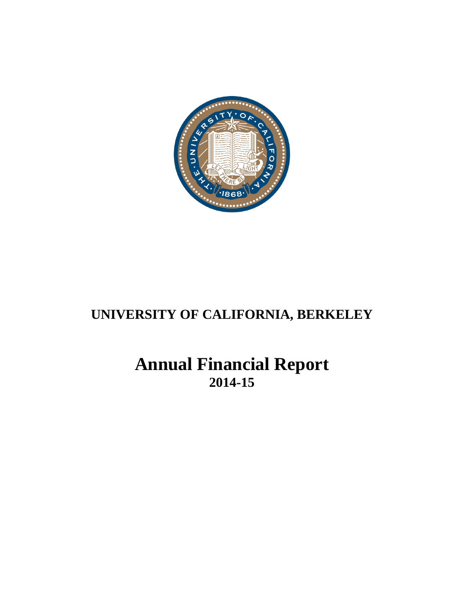

# **UNIVERSITY OF CALIFORNIA, BERKELEY**

# **Annual Financial Report 2014-15**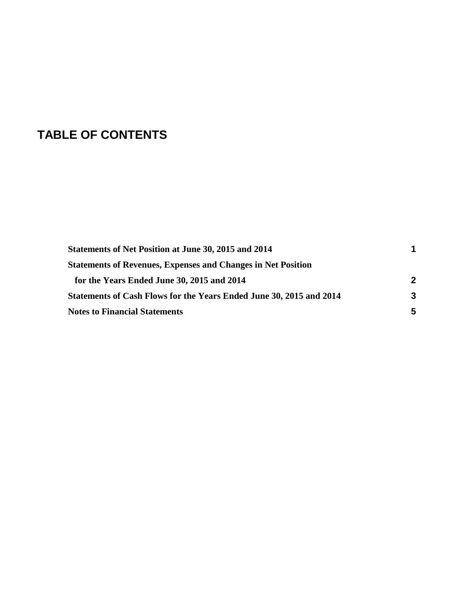# **TABLE OF CONTENTS**

| Statements of Net Position at June 30, 2015 and 2014                | 1 |
|---------------------------------------------------------------------|---|
| <b>Statements of Revenues, Expenses and Changes in Net Position</b> |   |
| for the Years Ended June 30, 2015 and 2014                          | 2 |
| Statements of Cash Flows for the Years Ended June 30, 2015 and 2014 | 3 |
| <b>Notes to Financial Statements</b>                                | 5 |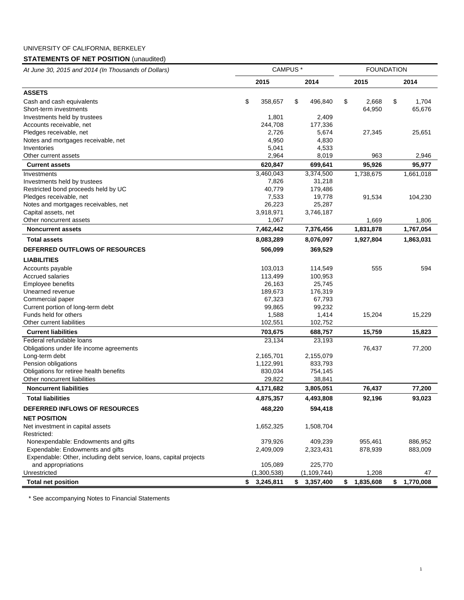## UNIVERSITY OF CALIFORNIA, BERKELEY

## **STATEMENTS OF NET POSITION** (unaudited)

| At June 30, 2015 and 2014 (In Thousands of Dollars)                | CAMPUS <sup>*</sup> |             |                 |    | <b>FOUNDATION</b> |    |           |  |
|--------------------------------------------------------------------|---------------------|-------------|-----------------|----|-------------------|----|-----------|--|
|                                                                    |                     | 2015        | 2014            |    | 2015              |    | 2014      |  |
| <b>ASSETS</b>                                                      |                     |             |                 |    |                   |    |           |  |
| Cash and cash equivalents                                          | \$                  | 358,657     | \$<br>496,840   | \$ | 2.668             | \$ | 1,704     |  |
| Short-term investments                                             |                     |             |                 |    | 64,950            |    | 65,676    |  |
| Investments held by trustees                                       |                     | 1,801       | 2,409           |    |                   |    |           |  |
| Accounts receivable, net                                           |                     | 244,708     | 177,336         |    |                   |    |           |  |
| Pledges receivable, net                                            |                     | 2,726       | 5,674           |    | 27,345            |    | 25,651    |  |
| Notes and mortgages receivable, net                                |                     | 4,950       | 4,830           |    |                   |    |           |  |
| Inventories                                                        |                     | 5,041       | 4,533           |    |                   |    |           |  |
| Other current assets                                               |                     | 2,964       | 8,019           |    | 963               |    | 2,946     |  |
| <b>Current assets</b>                                              |                     | 620,847     | 699,641         |    | 95,926            |    | 95,977    |  |
| Investments                                                        |                     | 3,460,043   | 3,374,500       |    | 1,738,675         |    | 1,661,018 |  |
| Investments held by trustees                                       |                     | 7,826       | 31,218          |    |                   |    |           |  |
| Restricted bond proceeds held by UC                                |                     | 40,779      | 179,486         |    |                   |    |           |  |
| Pledges receivable, net                                            |                     | 7,533       | 19,778          |    | 91,534            |    | 104,230   |  |
| Notes and mortgages receivables, net                               |                     | 26,223      | 25,287          |    |                   |    |           |  |
| Capital assets, net                                                |                     | 3,918,971   | 3,746,187       |    |                   |    |           |  |
| Other noncurrent assets                                            |                     | 1,067       |                 |    | 1,669             |    | 1,806     |  |
| <b>Noncurrent assets</b>                                           |                     | 7,462,442   | 7,376,456       |    | 1,831,878         |    | 1,767,054 |  |
| <b>Total assets</b>                                                |                     | 8,083,289   | 8,076,097       |    | 1,927,804         |    | 1,863,031 |  |
| <b>DEFERRED OUTFLOWS OF RESOURCES</b>                              |                     | 506,099     | 369,529         |    |                   |    |           |  |
| <b>LIABILITIES</b>                                                 |                     |             |                 |    |                   |    |           |  |
| Accounts payable                                                   |                     | 103,013     | 114,549         |    | 555               |    | 594       |  |
| <b>Accrued salaries</b>                                            |                     | 113,499     | 100,953         |    |                   |    |           |  |
| <b>Employee benefits</b>                                           |                     | 26,163      | 25,745          |    |                   |    |           |  |
| Unearned revenue                                                   |                     | 189,673     | 176,319         |    |                   |    |           |  |
| Commercial paper                                                   |                     | 67,323      | 67,793          |    |                   |    |           |  |
| Current portion of long-term debt                                  |                     | 99,865      | 99,232          |    |                   |    |           |  |
| Funds held for others                                              |                     | 1,588       | 1,414           |    | 15,204            |    | 15,229    |  |
| Other current liabilities                                          |                     | 102,551     | 102,752         |    |                   |    |           |  |
| <b>Current liabilities</b>                                         |                     | 703,675     | 688,757         |    | 15,759            |    | 15,823    |  |
| Federal refundable loans                                           |                     | 23,134      | 23,193          |    |                   |    |           |  |
| Obligations under life income agreements                           |                     |             |                 |    | 76,437            |    | 77,200    |  |
| Long-term debt                                                     |                     | 2,165,701   | 2,155,079       |    |                   |    |           |  |
| Pension obligations                                                |                     | 1,122,991   | 833,793         |    |                   |    |           |  |
| Obligations for retiree health benefits                            |                     | 830,034     | 754,145         |    |                   |    |           |  |
| Other noncurrent liabilities                                       |                     | 29,822      | 38,841          |    |                   |    |           |  |
| <b>Noncurrent liabilities</b>                                      |                     | 4,171,682   | 3,805,051       |    | 76,437            |    | 77,200    |  |
| <b>Total liabilities</b>                                           |                     | 4,875,357   | 4,493,808       |    | 92,196            |    | 93,023    |  |
| DEFERRED INFLOWS OF RESOURCES                                      |                     | 468,220     | 594,418         |    |                   |    |           |  |
| <b>NET POSITION</b>                                                |                     |             |                 |    |                   |    |           |  |
| Net investment in capital assets                                   |                     | 1,652,325   | 1,508,704       |    |                   |    |           |  |
| Restricted:                                                        |                     |             |                 |    |                   |    |           |  |
| Nonexpendable: Endowments and gifts                                |                     | 379,926     | 409,239         |    | 955,461           |    | 886,952   |  |
| Expendable: Endowments and gifts                                   |                     | 2,409,009   | 2,323,431       |    | 878,939           |    | 883,009   |  |
| Expendable: Other, including debt service, loans, capital projects |                     |             |                 |    |                   |    |           |  |
| and appropriations                                                 |                     | 105,089     | 225,770         |    |                   |    |           |  |
| Unrestricted                                                       |                     | (1,300,538) | (1,109,744)     |    | 1,208             |    | 47        |  |
| <b>Total net position</b>                                          | \$                  | 3,245,811   | \$<br>3,357,400 | \$ | 1,835,608         | \$ | 1,770,008 |  |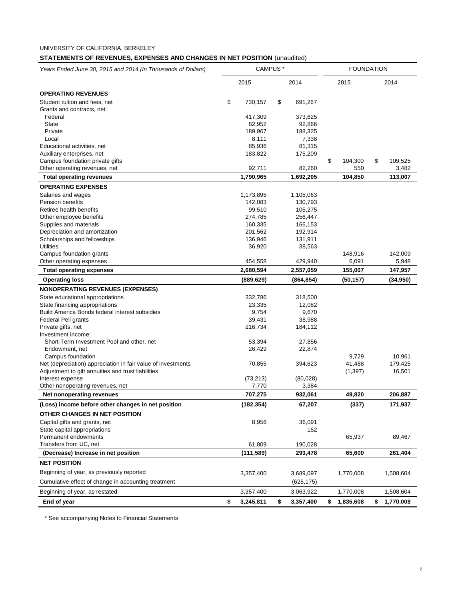## **STATEMENTS OF REVENUES, EXPENSES AND CHANGES IN NET POSITION** (unaudited)

| Years Ended June 30, 2015 and 2014 (In Thousands of Dollars) | CAMPUS <sup>*</sup> |            |      | <b>FOUNDATION</b> |      |           |    |           |
|--------------------------------------------------------------|---------------------|------------|------|-------------------|------|-----------|----|-----------|
|                                                              | 2015<br>2014        |            | 2015 |                   | 2014 |           |    |           |
| <b>OPERATING REVENUES</b>                                    |                     |            |      |                   |      |           |    |           |
| Student tuition and fees, net                                | \$                  | 730,157    | \$   | 691,267           |      |           |    |           |
| Grants and contracts, net:                                   |                     |            |      |                   |      |           |    |           |
| Federal                                                      |                     | 417,309    |      | 373,625           |      |           |    |           |
| <b>State</b>                                                 |                     | 82,952     |      | 92,866            |      |           |    |           |
| Private                                                      |                     | 189,967    |      | 188,325           |      |           |    |           |
| Local                                                        |                     | 8,111      |      | 7,338             |      |           |    |           |
| Educational activities, net                                  |                     | 85,936     |      | 81,315            |      |           |    |           |
| Auxiliary enterprises, net                                   |                     | 183,822    |      | 175,209           |      |           |    |           |
| Campus foundation private gifts                              |                     |            |      |                   | \$   | 104,300   | \$ | 109,525   |
| Other operating revenues, net                                |                     | 92,711     |      | 82,260            |      | 550       |    | 3,482     |
| <b>Total operating revenues</b>                              |                     | 1,790,965  |      | 1,692,205         |      | 104,850   |    | 113,007   |
| <b>OPERATING EXPENSES</b>                                    |                     |            |      |                   |      |           |    |           |
| Salaries and wages                                           |                     | 1,173,895  |      | 1,105,063         |      |           |    |           |
| <b>Pension benefits</b>                                      |                     | 142,083    |      | 130,793           |      |           |    |           |
| Retiree health benefits                                      |                     | 99,510     |      | 105,275           |      |           |    |           |
| Other employee benefits                                      |                     | 274,785    |      | 256,447           |      |           |    |           |
| Supplies and materials                                       |                     | 160,335    |      | 166,153           |      |           |    |           |
| Depreciation and amortization                                |                     | 201,562    |      | 192,914           |      |           |    |           |
| Scholarships and fellowships                                 |                     | 136,946    |      | 131,911           |      |           |    |           |
| <b>Utilities</b>                                             |                     | 36,920     |      | 38,563            |      |           |    |           |
| Campus foundation grants                                     |                     |            |      |                   |      | 148,916   |    | 142,009   |
| Other operating expenses                                     |                     | 454,558    |      | 429,940           |      | 6,091     |    | 5,948     |
| <b>Total operating expenses</b>                              |                     | 2,680,594  |      | 2,557,059         |      | 155,007   |    | 147,957   |
| <b>Operating loss</b>                                        |                     | (889, 629) |      | (864, 854)        |      | (50, 157) |    | (34, 950) |
| <b>NONOPERATING REVENUES (EXPENSES)</b>                      |                     |            |      |                   |      |           |    |           |
| State educational appropriations                             |                     | 332,786    |      | 318,500           |      |           |    |           |
| State financing appropriations                               |                     | 23,335     |      | 12,082            |      |           |    |           |
| Build America Bonds federal interest subsidies               |                     | 9,754      |      | 9,670             |      |           |    |           |
| Federal Pell grants                                          |                     | 39,431     |      | 38,988            |      |           |    |           |
| Private gifts, net                                           |                     | 216,734    |      | 184,112           |      |           |    |           |
| Investment income:                                           |                     |            |      |                   |      |           |    |           |
| Short-Term Investment Pool and other, net                    |                     | 53,394     |      | 27,856            |      |           |    |           |
| Endowment, net                                               |                     | 26,429     |      | 22,874            |      |           |    |           |
| Campus foundation                                            |                     |            |      |                   |      | 9,729     |    | 10,961    |
| Net (depreciation) appreciation in fair value of investments |                     | 70,855     |      | 394,623           |      | 41,488    |    | 179,425   |
| Adjustment to gift annuities and trust liabilities           |                     |            |      |                   |      | (1, 397)  |    | 16,501    |
| Interest expense                                             |                     | (73, 213)  |      | (80,028)          |      |           |    |           |
| Other nonoperating revenues, net                             |                     | 7,770      |      | 3,384             |      |           |    |           |
| Net nonoperating revenues                                    |                     | 707,275    |      | 932,061           |      | 49,820    |    | 206,887   |
| (Loss) income before other changes in net position           |                     | (182, 354) |      | 67,207            |      | (337)     |    | 171,937   |
| OTHER CHANGES IN NET POSITION                                |                     |            |      |                   |      |           |    |           |
| Capital gifts and grants, net                                |                     | 8,956      |      | 36,091            |      |           |    |           |
| State capital appropriations                                 |                     |            |      | 152               |      |           |    |           |
| Permanent endowments                                         |                     |            |      |                   |      | 65,937    |    | 89,467    |
| Transfers from UC, net                                       |                     | 61,809     |      | 190,028           |      |           |    |           |
| (Decrease) Increase in net position                          |                     | (111, 589) |      | 293,478           |      | 65,600    |    | 261,404   |
| <b>NET POSITION</b>                                          |                     |            |      |                   |      |           |    |           |
| Beginning of year, as previously reported                    |                     | 3,357,400  |      | 3,689,097         |      | 1,770,008 |    | 1,508,604 |
| Cumulative effect of change in accounting treatment          |                     |            |      | (625, 175)        |      |           |    |           |
| Beginning of year, as restated                               |                     | 3,357,400  |      | 3,063,922         |      | 1,770,008 |    | 1,508,604 |
| End of year                                                  | \$                  | 3,245,811  | \$   | 3,357,400         | \$   | 1,835,608 | \$ | 1,770,008 |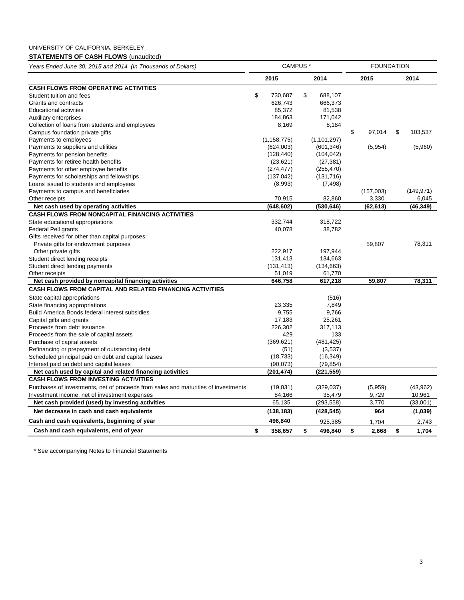## UNIVERSITY OF CALIFORNIA, BERKELEY

## **STATEMENTS OF CASH FLOWS** (unaudited)

| Years Ended June 30, 2015 and 2014 (In Thousands of Dollars)                       | CAMPUS <sup>*</sup> |               |    |               | <b>FOUNDATION</b> |           |    |            |
|------------------------------------------------------------------------------------|---------------------|---------------|----|---------------|-------------------|-----------|----|------------|
|                                                                                    |                     | 2015          |    | 2014          |                   | 2015      |    | 2014       |
| <b>CASH FLOWS FROM OPERATING ACTIVITIES</b>                                        |                     |               |    |               |                   |           |    |            |
| Student tuition and fees                                                           | \$                  | 730,687       | \$ | 688,107       |                   |           |    |            |
| Grants and contracts                                                               |                     | 626,743       |    | 666,373       |                   |           |    |            |
| <b>Educational activities</b>                                                      |                     | 85,372        |    | 81,538        |                   |           |    |            |
| Auxiliary enterprises                                                              |                     | 184,863       |    | 171,042       |                   |           |    |            |
| Collection of loans from students and employees                                    |                     | 8,169         |    | 8,184         |                   |           |    |            |
| Campus foundation private gifts                                                    |                     |               |    |               | \$                | 97,014    | \$ | 103,537    |
| Payments to employees                                                              |                     | (1, 158, 775) |    | (1, 101, 297) |                   |           |    |            |
| Payments to suppliers and utilities                                                |                     | (624,003)     |    | (601, 346)    |                   | (5,954)   |    | (5,960)    |
| Payments for pension benefits                                                      |                     | (128, 440)    |    | (104, 042)    |                   |           |    |            |
| Payments for retiree health benefits                                               |                     | (23, 621)     |    | (27, 381)     |                   |           |    |            |
| Payments for other employee benefits                                               |                     | (274, 477)    |    | (255, 470)    |                   |           |    |            |
| Payments for scholarships and fellowships                                          |                     | (137, 042)    |    | (131, 716)    |                   |           |    |            |
| Loans issued to students and employees                                             |                     | (8,993)       |    | (7, 498)      |                   |           |    |            |
| Payments to campus and beneficiaries                                               |                     |               |    |               |                   | (157,003) |    | (149, 971) |
| Other receipts                                                                     |                     | 70,915        |    | 82,860        |                   | 3,330     |    | 6,045      |
| Net cash used by operating activities                                              |                     | (648,602)     |    | (530, 646)    |                   | (62, 613) |    | (46, 349)  |
| <b>CASH FLOWS FROM NONCAPITAL FINANCING ACTIVITIES</b>                             |                     |               |    |               |                   |           |    |            |
| State educational appropriations                                                   |                     | 332,744       |    | 318,722       |                   |           |    |            |
| <b>Federal Pell grants</b>                                                         |                     | 40,078        |    | 38,782        |                   |           |    |            |
| Gifts received for other than capital purposes:                                    |                     |               |    |               |                   |           |    |            |
| Private gifts for endowment purposes                                               |                     |               |    |               |                   | 59,807    |    | 78,311     |
| Other private gifts                                                                |                     | 222,917       |    | 197,944       |                   |           |    |            |
| Student direct lending receipts                                                    |                     | 131,413       |    | 134,663       |                   |           |    |            |
| Student direct lending payments                                                    |                     | (131, 413)    |    | (134, 663)    |                   |           |    |            |
| Other receipts                                                                     |                     | 51,019        |    | 61,770        |                   |           |    |            |
| Net cash provided by noncapital financing activities                               |                     | 646,758       |    | 617,218       |                   | 59,807    |    | 78,311     |
| <b>CASH FLOWS FROM CAPITAL AND RELATED FINANCING ACTIVITIES</b>                    |                     |               |    |               |                   |           |    |            |
| State capital appropriations                                                       |                     |               |    | (516)         |                   |           |    |            |
| State financing appropriations                                                     |                     | 23,335        |    | 7,849         |                   |           |    |            |
| Build America Bonds federal interest subsidies                                     |                     | 9,755         |    | 9.766         |                   |           |    |            |
| Capital gifts and grants                                                           |                     | 17,183        |    | 25,261        |                   |           |    |            |
| Proceeds from debt issuance                                                        |                     | 226,302       |    | 317,113       |                   |           |    |            |
| Proceeds from the sale of capital assets                                           |                     | 429           |    | 133           |                   |           |    |            |
| Purchase of capital assets                                                         |                     | (369, 621)    |    | (481, 425)    |                   |           |    |            |
| Refinancing or prepayment of outstanding debt                                      |                     | (51)          |    | (3,537)       |                   |           |    |            |
| Scheduled principal paid on debt and capital leases                                |                     | (18, 733)     |    | (16, 349)     |                   |           |    |            |
| Interest paid on debt and capital leases                                           |                     | (90,073)      |    | (79, 854)     |                   |           |    |            |
| Net cash used by capital and related financing activities                          |                     | (201,474)     |    | (221, 559)    |                   |           |    |            |
| <b>CASH FLOWS FROM INVESTING ACTIVITIES</b>                                        |                     |               |    |               |                   |           |    |            |
| Purchases of investments, net of proceeds from sales and maturities of investments |                     | (19,031)      |    | (329, 037)    |                   | (5,959)   |    | (43,962)   |
| Investment income, net of investment expenses                                      |                     | 84,166        |    | 35,479        |                   | 9,729     |    | 10,961     |
| Net cash provided (used) by investing activities                                   |                     | 65,135        |    | (293, 558)    |                   | 3,770     |    | (33,001)   |
| Net decrease in cash and cash equivalents                                          |                     | (138, 183)    |    | (428, 545)    |                   | 964       |    | (1,039)    |
| Cash and cash equivalents, beginning of year                                       |                     | 496,840       |    | 925,385       |                   | 1,704     |    | 2,743      |
| Cash and cash equivalents, end of year                                             | \$                  | 358,657       | \$ | 496,840       | \$                | 2.668     | \$ | 1.704      |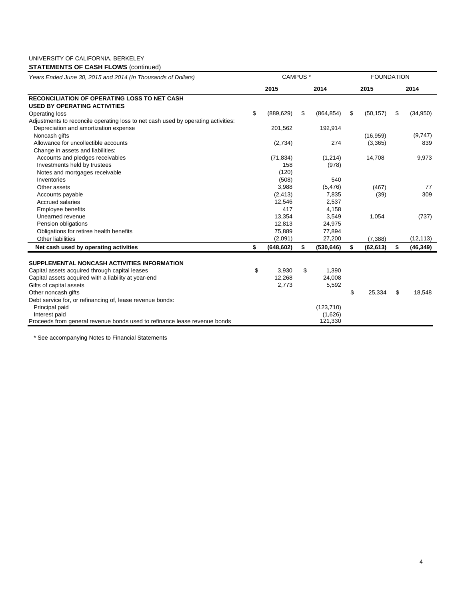## UNIVERSITY OF CALIFORNIA, BERKELEY

## **STATEMENTS OF CASH FLOWS** (continued)

| Years Ended June 30, 2015 and 2014 (In Thousands of Dollars)                      | CAMPUS <sup>*</sup> |            |    | <b>FOUNDATION</b> |    |           |    |           |
|-----------------------------------------------------------------------------------|---------------------|------------|----|-------------------|----|-----------|----|-----------|
|                                                                                   |                     | 2015       |    | 2014              |    | 2015      |    | 2014      |
| <b>RECONCILIATION OF OPERATING LOSS TO NET CASH</b>                               |                     |            |    |                   |    |           |    |           |
| <b>USED BY OPERATING ACTIVITIES</b>                                               |                     |            |    |                   |    |           |    |           |
| <b>Operating loss</b>                                                             | \$                  | (889, 629) | \$ | (864, 854)        | \$ | (50, 157) | \$ | (34, 950) |
| Adjustments to reconcile operating loss to net cash used by operating activities: |                     |            |    |                   |    |           |    |           |
| Depreciation and amortization expense                                             |                     | 201,562    |    | 192,914           |    |           |    |           |
| Noncash gifts                                                                     |                     |            |    |                   |    | (16, 959) |    | (9,747)   |
| Allowance for uncollectible accounts                                              |                     | (2,734)    |    | 274               |    | (3,365)   |    | 839       |
| Change in assets and liabilities:                                                 |                     |            |    |                   |    |           |    |           |
| Accounts and pledges receivables                                                  |                     | (71, 834)  |    | (1,214)           |    | 14,708    |    | 9,973     |
| Investments held by trustees                                                      |                     | 158        |    | (978)             |    |           |    |           |
| Notes and mortgages receivable                                                    |                     | (120)      |    |                   |    |           |    |           |
| Inventories                                                                       |                     | (508)      |    | 540               |    |           |    |           |
| Other assets                                                                      |                     | 3,988      |    | (5, 476)          |    | (467)     |    | 77        |
| Accounts payable                                                                  |                     | (2, 413)   |    | 7,835             |    | (39)      |    | 309       |
| Accrued salaries                                                                  |                     | 12,546     |    | 2,537             |    |           |    |           |
| <b>Employee benefits</b>                                                          |                     | 417        |    | 4,158             |    |           |    |           |
| Unearned revenue                                                                  |                     | 13,354     |    | 3,549             |    | 1,054     |    | (737)     |
| Pension obligations                                                               |                     | 12,813     |    | 24,975            |    |           |    |           |
| Obligations for retiree health benefits                                           |                     | 75,889     |    | 77,894            |    |           |    |           |
| Other liabilities                                                                 |                     | (2,091)    |    | 27,200            |    | (7, 388)  |    | (12, 113) |
| Net cash used by operating activities                                             | \$                  | (648, 602) | \$ | (530, 646)        | \$ | (62, 613) | \$ | (46, 349) |
| SUPPLEMENTAL NONCASH ACTIVITIES INFORMATION                                       |                     |            |    |                   |    |           |    |           |
| Capital assets acquired through capital leases                                    | \$                  | 3,930      | \$ | 1,390             |    |           |    |           |
| Capital assets acquired with a liability at year-end                              |                     | 12,268     |    | 24,008            |    |           |    |           |
| Gifts of capital assets                                                           |                     | 2,773      |    | 5,592             |    |           |    |           |
| Other noncash gifts                                                               |                     |            |    |                   | \$ | 25,334    | \$ | 18,548    |
| Debt service for, or refinancing of, lease revenue bonds:                         |                     |            |    |                   |    |           |    |           |
| Principal paid                                                                    |                     |            |    | (123, 710)        |    |           |    |           |
| Interest paid                                                                     |                     |            |    | (1,626)           |    |           |    |           |
| Proceeds from general revenue bonds used to refinance lease revenue bonds         |                     |            |    | 121,330           |    |           |    |           |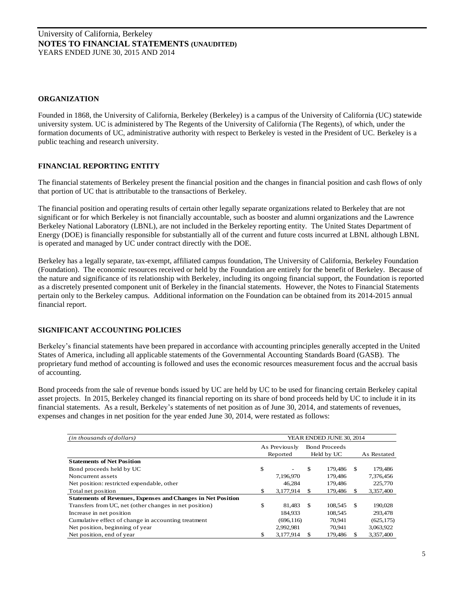#### **ORGANIZATION**

Founded in 1868, the University of California, Berkeley (Berkeley) is a campus of the University of California (UC) statewide university system. UC is administered by The Regents of the University of California (The Regents), of which, under the formation documents of UC, administrative authority with respect to Berkeley is vested in the President of UC. Berkeley is a public teaching and research university.

#### **FINANCIAL REPORTING ENTITY**

The financial statements of Berkeley present the financial position and the changes in financial position and cash flows of only that portion of UC that is attributable to the transactions of Berkeley.

The financial position and operating results of certain other legally separate organizations related to Berkeley that are not significant or for which Berkeley is not financially accountable, such as booster and alumni organizations and the Lawrence Berkeley National Laboratory (LBNL), are not included in the Berkeley reporting entity. The United States Department of Energy (DOE) is financially responsible for substantially all of the current and future costs incurred at LBNL although LBNL is operated and managed by UC under contract directly with the DOE.

Berkeley has a legally separate, tax-exempt, affiliated campus foundation, The University of California, Berkeley Foundation (Foundation). The economic resources received or held by the Foundation are entirely for the benefit of Berkeley. Because of the nature and significance of its relationship with Berkeley, including its ongoing financial support, the Foundation is reported as a discretely presented component unit of Berkeley in the financial statements. However, the Notes to Financial Statements pertain only to the Berkeley campus. Additional information on the Foundation can be obtained from its 2014-2015 annual financial report.

## **SIGNIFICANT ACCOUNTING POLICIES**

Berkeley's financial statements have been prepared in accordance with accounting principles generally accepted in the United States of America, including all applicable statements of the Governmental Accounting Standards Board (GASB). The proprietary fund method of accounting is followed and uses the economic resources measurement focus and the accrual basis of accounting.

Bond proceeds from the sale of revenue bonds issued by UC are held by UC to be used for financing certain Berkeley capital asset projects. In 2015, Berkeley changed its financial reporting on its share of bond proceeds held by UC to include it in its financial statements. As a result, Berkeley's statements of net position as of June 30, 2014, and statements of revenues, expenses and changes in net position for the year ended June 30, 2014, were restated as follows:

| (in thousands of dollars)                                           | YEAR ENDED JUNE 30, 2014 |               |               |                      |     |             |  |
|---------------------------------------------------------------------|--------------------------|---------------|---------------|----------------------|-----|-------------|--|
|                                                                     |                          | As Previously |               | <b>Bond Proceeds</b> |     |             |  |
|                                                                     |                          | Reported      |               | Held by UC           |     | As Restated |  |
| <b>Statements of Net Position</b>                                   |                          |               |               |                      |     |             |  |
| Bond proceeds held by UC                                            | \$                       |               | S             | 179.486              | -8  | 179.486     |  |
| Noncurrent assets                                                   |                          | 7.196.970     |               | 179.486              |     | 7,376,456   |  |
| Net position: restricted expendable, other                          |                          | 46,284        |               | 179,486              |     | 225,770     |  |
| Total net position                                                  | \$                       | 3,177,914     | <sup>\$</sup> | 179,486              | Æ.  | 3,357,400   |  |
| <b>Statements of Revenues, Expenses and Changes in Net Position</b> |                          |               |               |                      |     |             |  |
| Transfers from UC, net (other changes in net position)              | \$                       | 81.483        | £.            | 108,545              | -\$ | 190,028     |  |
| Increase in net position                                            |                          | 184.933       |               | 108.545              |     | 293,478     |  |
| Cumulative effect of change in accounting treatment                 |                          | (696, 116)    |               | 70.941               |     | (625, 175)  |  |
| Net position, beginning of year                                     |                          | 2,992,981     |               | 70.941               |     | 3,063,922   |  |
| Net position, end of year                                           | \$                       | 3.177.914     |               | 179.486              |     | 3.357,400   |  |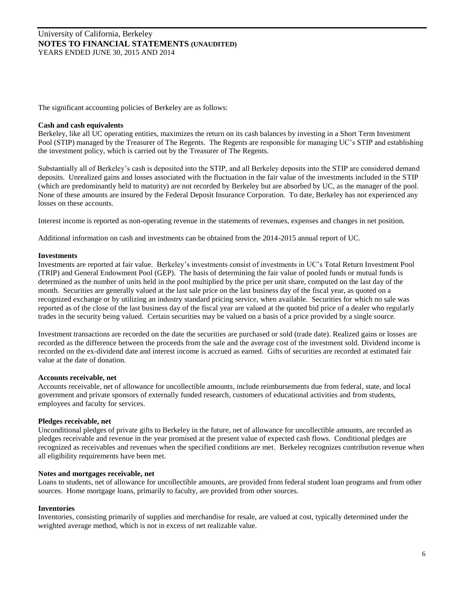The significant accounting policies of Berkeley are as follows:

#### **Cash and cash equivalents**

Berkeley, like all UC operating entities, maximizes the return on its cash balances by investing in a Short Term Investment Pool (STIP) managed by the Treasurer of The Regents. The Regents are responsible for managing UC's STIP and establishing the investment policy, which is carried out by the Treasurer of The Regents.

Substantially all of Berkeley's cash is deposited into the STIP, and all Berkeley deposits into the STIP are considered demand deposits. Unrealized gains and losses associated with the fluctuation in the fair value of the investments included in the STIP (which are predominantly held to maturity) are not recorded by Berkeley but are absorbed by UC, as the manager of the pool. None of these amounts are insured by the Federal Deposit Insurance Corporation. To date, Berkeley has not experienced any losses on these accounts.

Interest income is reported as non-operating revenue in the statements of revenues, expenses and changes in net position.

Additional information on cash and investments can be obtained from the 2014-2015 annual report of UC.

#### **Investments**

Investments are reported at fair value. Berkeley's investments consist of investments in UC's Total Return Investment Pool (TRIP) and General Endowment Pool (GEP). The basis of determining the fair value of pooled funds or mutual funds is determined as the number of units held in the pool multiplied by the price per unit share, computed on the last day of the month. Securities are generally valued at the last sale price on the last business day of the fiscal year, as quoted on a recognized exchange or by utilizing an industry standard pricing service, when available. Securities for which no sale was reported as of the close of the last business day of the fiscal year are valued at the quoted bid price of a dealer who regularly trades in the security being valued. Certain securities may be valued on a basis of a price provided by a single source.

Investment transactions are recorded on the date the securities are purchased or sold (trade date). Realized gains or losses are recorded as the difference between the proceeds from the sale and the average cost of the investment sold. Dividend income is recorded on the ex-dividend date and interest income is accrued as earned. Gifts of securities are recorded at estimated fair value at the date of donation.

#### **Accounts receivable, net**

Accounts receivable, net of allowance for uncollectible amounts, include reimbursements due from federal, state, and local government and private sponsors of externally funded research, customers of educational activities and from students, employees and faculty for services.

#### **Pledges receivable, net**

Unconditional pledges of private gifts to Berkeley in the future, net of allowance for uncollectible amounts, are recorded as pledges receivable and revenue in the year promised at the present value of expected cash flows. Conditional pledges are recognized as receivables and revenues when the specified conditions are met. Berkeley recognizes contribution revenue when all eligibility requirements have been met.

#### **Notes and mortgages receivable, net**

Loans to students, net of allowance for uncollectible amounts, are provided from federal student loan programs and from other sources. Home mortgage loans, primarily to faculty, are provided from other sources.

#### **Inventories**

Inventories, consisting primarily of supplies and merchandise for resale, are valued at cost, typically determined under the weighted average method, which is not in excess of net realizable value.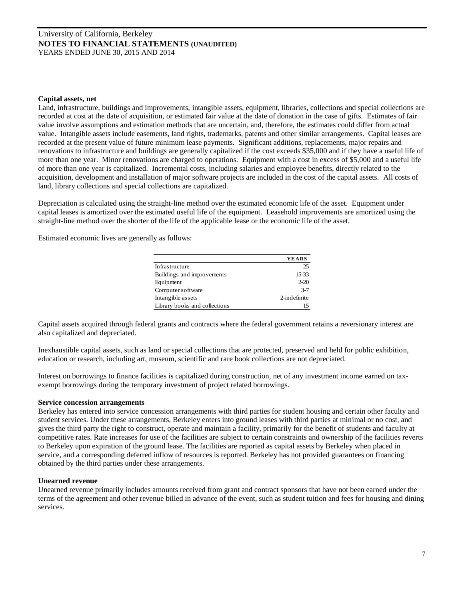#### **Capital assets, net**

Land, infrastructure, buildings and improvements, intangible assets, equipment, libraries, collections and special collections are recorded at cost at the date of acquisition, or estimated fair value at the date of donation in the case of gifts. Estimates of fair value involve assumptions and estimation methods that are uncertain, and, therefore, the estimates could differ from actual value. Intangible assets include easements, land rights, trademarks, patents and other similar arrangements. Capital leases are recorded at the present value of future minimum lease payments. Significant additions, replacements, major repairs and renovations to infrastructure and buildings are generally capitalized if the cost exceeds \$35,000 and if they have a useful life of more than one year. Minor renovations are charged to operations. Equipment with a cost in excess of \$5,000 and a useful life of more than one year is capitalized. Incremental costs, including salaries and employee benefits, directly related to the acquisition, development and installation of major software projects are included in the cost of the capital assets. All costs of land, library collections and special collections are capitalized.

Depreciation is calculated using the straight-line method over the estimated economic life of the asset. Equipment under capital leases is amortized over the estimated useful life of the equipment. Leasehold improvements are amortized using the straight-line method over the shorter of the life of the applicable lease or the economic life of the asset.

Estimated economic lives are generally as follows:

|                               | <b>YEARS</b> |
|-------------------------------|--------------|
|                               |              |
| Infrastructure                | 25           |
| Buildings and improvements    | 15-33        |
| Equipment                     | $2 - 20$     |
| Computer software             | $3 - 7$      |
| Intangible assets             | 2-indefinite |
| Library books and collections | 15           |

Capital assets acquired through federal grants and contracts where the federal government retains a reversionary interest are also capitalized and depreciated.

Inexhaustible capital assets, such as land or special collections that are protected, preserved and held for public exhibition, education or research, including art, museum, scientific and rare book collections are not depreciated.

Interest on borrowings to finance facilities is capitalized during construction, net of any investment income earned on taxexempt borrowings during the temporary investment of project related borrowings.

#### **Service concession arrangements**

Berkeley has entered into service concession arrangements with third parties for student housing and certain other faculty and student services. Under these arrangements, Berkeley enters into ground leases with third parties at minimal or no cost, and gives the third party the right to construct, operate and maintain a facility, primarily for the benefit of students and faculty at competitive rates. Rate increases for use of the facilities are subject to certain constraints and ownership of the facilities reverts to Berkeley upon expiration of the ground lease. The facilities are reported as capital assets by Berkeley when placed in service, and a corresponding deferred inflow of resources is reported. Berkeley has not provided guarantees on financing obtained by the third parties under these arrangements.

#### **Unearned revenue**

Unearned revenue primarily includes amounts received from grant and contract sponsors that have not been earned under the terms of the agreement and other revenue billed in advance of the event, such as student tuition and fees for housing and dining services.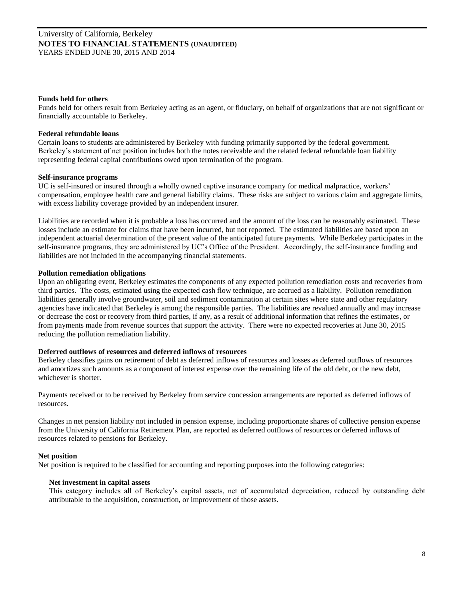#### **Funds held for others**

Funds held for others result from Berkeley acting as an agent, or fiduciary, on behalf of organizations that are not significant or financially accountable to Berkeley.

#### **Federal refundable loans**

Certain loans to students are administered by Berkeley with funding primarily supported by the federal government. Berkeley's statement of net position includes both the notes receivable and the related federal refundable loan liability representing federal capital contributions owed upon termination of the program.

#### **Self-insurance programs**

UC is self-insured or insured through a wholly owned captive insurance company for medical malpractice, workers' compensation, employee health care and general liability claims. These risks are subject to various claim and aggregate limits, with excess liability coverage provided by an independent insurer.

Liabilities are recorded when it is probable a loss has occurred and the amount of the loss can be reasonably estimated. These losses include an estimate for claims that have been incurred, but not reported. The estimated liabilities are based upon an independent actuarial determination of the present value of the anticipated future payments. While Berkeley participates in the self-insurance programs, they are administered by UC's Office of the President. Accordingly, the self-insurance funding and liabilities are not included in the accompanying financial statements.

#### **Pollution remediation obligations**

Upon an obligating event, Berkeley estimates the components of any expected pollution remediation costs and recoveries from third parties. The costs, estimated using the expected cash flow technique, are accrued as a liability. Pollution remediation liabilities generally involve groundwater, soil and sediment contamination at certain sites where state and other regulatory agencies have indicated that Berkeley is among the responsible parties. The liabilities are revalued annually and may increase or decrease the cost or recovery from third parties, if any, as a result of additional information that refines the estimates, or from payments made from revenue sources that support the activity. There were no expected recoveries at June 30, 2015 reducing the pollution remediation liability.

#### **Deferred outflows of resources and deferred inflows of resources**

Berkeley classifies gains on retirement of debt as deferred inflows of resources and losses as deferred outflows of resources and amortizes such amounts as a component of interest expense over the remaining life of the old debt, or the new debt, whichever is shorter.

Payments received or to be received by Berkeley from service concession arrangements are reported as deferred inflows of resources.

Changes in net pension liability not included in pension expense, including proportionate shares of collective pension expense from the University of California Retirement Plan, are reported as deferred outflows of resources or deferred inflows of resources related to pensions for Berkeley.

#### **Net position**

Net position is required to be classified for accounting and reporting purposes into the following categories:

#### **Net investment in capital assets**

This category includes all of Berkeley's capital assets, net of accumulated depreciation, reduced by outstanding debt attributable to the acquisition, construction, or improvement of those assets.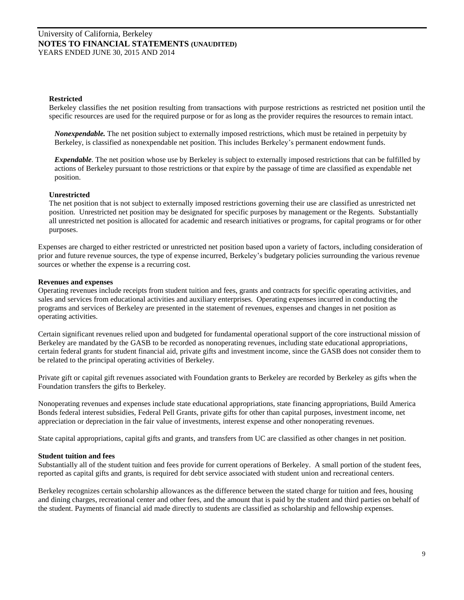#### **Restricted**

Berkeley classifies the net position resulting from transactions with purpose restrictions as restricted net position until the specific resources are used for the required purpose or for as long as the provider requires the resources to remain intact.

*Nonexpendable.* The net position subject to externally imposed restrictions, which must be retained in perpetuity by Berkeley, is classified as nonexpendable net position. This includes Berkeley's permanent endowment funds.

*Expendable.* The net position whose use by Berkeley is subject to externally imposed restrictions that can be fulfilled by actions of Berkeley pursuant to those restrictions or that expire by the passage of time are classified as expendable net position.

#### **Unrestricted**

The net position that is not subject to externally imposed restrictions governing their use are classified as unrestricted net position. Unrestricted net position may be designated for specific purposes by management or the Regents. Substantially all unrestricted net position is allocated for academic and research initiatives or programs, for capital programs or for other purposes.

Expenses are charged to either restricted or unrestricted net position based upon a variety of factors, including consideration of prior and future revenue sources, the type of expense incurred, Berkeley's budgetary policies surrounding the various revenue sources or whether the expense is a recurring cost.

#### **Revenues and expenses**

Operating revenues include receipts from student tuition and fees, grants and contracts for specific operating activities, and sales and services from educational activities and auxiliary enterprises. Operating expenses incurred in conducting the programs and services of Berkeley are presented in the statement of revenues, expenses and changes in net position as operating activities.

Certain significant revenues relied upon and budgeted for fundamental operational support of the core instructional mission of Berkeley are mandated by the GASB to be recorded as nonoperating revenues, including state educational appropriations, certain federal grants for student financial aid, private gifts and investment income, since the GASB does not consider them to be related to the principal operating activities of Berkeley.

Private gift or capital gift revenues associated with Foundation grants to Berkeley are recorded by Berkeley as gifts when the Foundation transfers the gifts to Berkeley.

Nonoperating revenues and expenses include state educational appropriations, state financing appropriations, Build America Bonds federal interest subsidies, Federal Pell Grants, private gifts for other than capital purposes, investment income, net appreciation or depreciation in the fair value of investments, interest expense and other nonoperating revenues.

State capital appropriations, capital gifts and grants, and transfers from UC are classified as other changes in net position.

#### **Student tuition and fees**

Substantially all of the student tuition and fees provide for current operations of Berkeley. A small portion of the student fees, reported as capital gifts and grants, is required for debt service associated with student union and recreational centers.

Berkeley recognizes certain scholarship allowances as the difference between the stated charge for tuition and fees, housing and dining charges, recreational center and other fees, and the amount that is paid by the student and third parties on behalf of the student. Payments of financial aid made directly to students are classified as scholarship and fellowship expenses.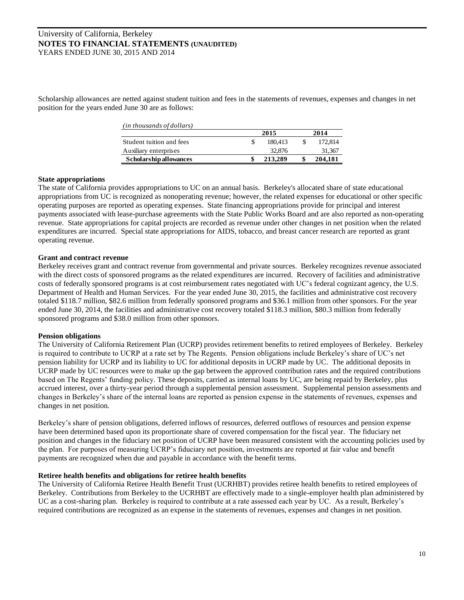Scholarship allowances are netted against student tuition and fees in the statements of revenues, expenses and changes in net position for the years ended June 30 are as follows:

| (in thousands of dollars) |         |         |
|---------------------------|---------|---------|
|                           | 2015    | 2014    |
| Student tuition and fees  | 180.413 | 172,814 |
| Auxiliary enterprises     | 32,876  | 31,367  |
| Scholarship allowances    | 213.289 | 204,181 |

#### **State appropriations**

The state of California provides appropriations to UC on an annual basis. Berkeley's allocated share of state educational appropriations from UC is recognized as nonoperating revenue; however, the related expenses for educational or other specific operating purposes are reported as operating expenses. State financing appropriations provide for principal and interest payments associated with lease-purchase agreements with the State Public Works Board and are also reported as non-operating revenue. State appropriations for capital projects are recorded as revenue under other changes in net position when the related expenditures are incurred. Special state appropriations for AIDS, tobacco, and breast cancer research are reported as grant operating revenue.

#### **Grant and contract revenue**

Berkeley receives grant and contract revenue from governmental and private sources. Berkeley recognizes revenue associated with the direct costs of sponsored programs as the related expenditures are incurred. Recovery of facilities and administrative costs of federally sponsored programs is at cost reimbursement rates negotiated with UC's federal cognizant agency, the U.S. Department of Health and Human Services. For the year ended June 30, 2015, the facilities and administrative cost recovery totaled \$118.7 million, \$82.6 million from federally sponsored programs and \$36.1 million from other sponsors. For the year ended June 30, 2014, the facilities and administrative cost recovery totaled \$118.3 million, \$80.3 million from federally sponsored programs and \$38.0 million from other sponsors.

## **Pension obligations**

The University of California Retirement Plan (UCRP) provides retirement benefits to retired employees of Berkeley. Berkeley is required to contribute to UCRP at a rate set by The Regents. Pension obligations include Berkeley's share of UC's net pension liability for UCRP and its liability to UC for additional deposits in UCRP made by UC. The additional deposits in UCRP made by UC resources were to make up the gap between the approved contribution rates and the required contributions based on The Regents' funding policy. These deposits, carried as internal loans by UC, are being repaid by Berkeley, plus accrued interest, over a thirty-year period through a supplemental pension assessment. Supplemental pension assessments and changes in Berkeley's share of the internal loans are reported as pension expense in the statements of revenues, expenses and changes in net position.

Berkeley's share of pension obligations, deferred inflows of resources, deferred outflows of resources and pension expense have been determined based upon its proportionate share of covered compensation for the fiscal year. The fiduciary net position and changes in the fiduciary net position of UCRP have been measured consistent with the accounting policies used by the plan. For purposes of measuring UCRP's fiduciary net position, investments are reported at fair value and benefit payments are recognized when due and payable in accordance with the benefit terms.

## **Retiree health benefits and obligations for retiree health benefits**

The University of California Retiree Health Benefit Trust (UCRHBT) provides retiree health benefits to retired employees of Berkeley. Contributions from Berkeley to the UCRHBT are effectively made to a single-employer health plan administered by UC as a cost-sharing plan. Berkeley is required to contribute at a rate assessed each year by UC. As a result, Berkeley's required contributions are recognized as an expense in the statements of revenues, expenses and changes in net position.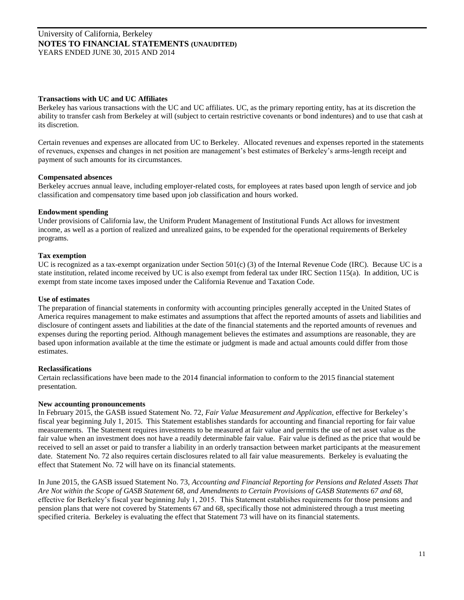#### **Transactions with UC and UC Affiliates**

Berkeley has various transactions with the UC and UC affiliates. UC, as the primary reporting entity, has at its discretion the ability to transfer cash from Berkeley at will (subject to certain restrictive covenants or bond indentures) and to use that cash at its discretion.

Certain revenues and expenses are allocated from UC to Berkeley. Allocated revenues and expenses reported in the statements of revenues, expenses and changes in net position are management's best estimates of Berkeley's arms-length receipt and payment of such amounts for its circumstances.

## **Compensated absences**

Berkeley accrues annual leave, including employer-related costs, for employees at rates based upon length of service and job classification and compensatory time based upon job classification and hours worked.

#### **Endowment spending**

Under provisions of California law, the Uniform Prudent Management of Institutional Funds Act allows for investment income, as well as a portion of realized and unrealized gains, to be expended for the operational requirements of Berkeley programs.

#### **Tax exemption**

UC is recognized as a tax-exempt organization under Section 501(c) (3) of the Internal Revenue Code (IRC). Because UC is a state institution, related income received by UC is also exempt from federal tax under IRC Section 115(a). In addition, UC is exempt from state income taxes imposed under the California Revenue and Taxation Code.

#### **Use of estimates**

The preparation of financial statements in conformity with accounting principles generally accepted in the United States of America requires management to make estimates and assumptions that affect the reported amounts of assets and liabilities and disclosure of contingent assets and liabilities at the date of the financial statements and the reported amounts of revenues and expenses during the reporting period. Although management believes the estimates and assumptions are reasonable, they are based upon information available at the time the estimate or judgment is made and actual amounts could differ from those estimates.

## **Reclassifications**

Certain reclassifications have been made to the 2014 financial information to conform to the 2015 financial statement presentation.

#### **New accounting pronouncements**

In February 2015, the GASB issued Statement No. 72, *Fair Value Measurement and Application,* effective for Berkeley's fiscal year beginning July 1, 2015. This Statement establishes standards for accounting and financial reporting for fair value measurements. The Statement requires investments to be measured at fair value and permits the use of net asset value as the fair value when an investment does not have a readily determinable fair value. Fair value is defined as the price that would be received to sell an asset or paid to transfer a liability in an orderly transaction between market participants at the measurement date. Statement No. 72 also requires certain disclosures related to all fair value measurements. Berkeley is evaluating the effect that Statement No. 72 will have on its financial statements.

In June 2015, the GASB issued Statement No. 73, *Accounting and Financial Reporting for Pensions and Related Assets That Are Not within the Scope of GASB Statement 68, and Amendments to Certain Provisions of GASB Statements 67 and 68,*  effective for Berkeley's fiscal year beginning July 1, 2015. This Statement establishes requirements for those pensions and pension plans that were not covered by Statements 67 and 68, specifically those not administered through a trust meeting specified criteria. Berkeley is evaluating the effect that Statement 73 will have on its financial statements.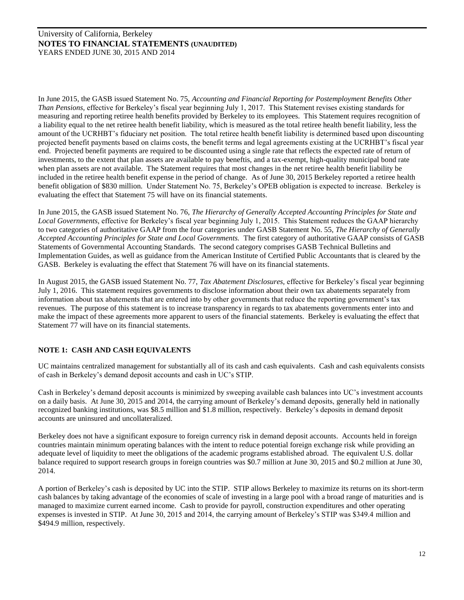In June 2015, the GASB issued Statement No. 75, *Accounting and Financial Reporting for Postemployment Benefits Other Than Pensions,* effective for Berkeley's fiscal year beginning July 1, 2017. This Statement revises existing standards for measuring and reporting retiree health benefits provided by Berkeley to its employees. This Statement requires recognition of a liability equal to the net retiree health benefit liability, which is measured as the total retiree health benefit liability, less the amount of the UCRHBT's fiduciary net position. The total retiree health benefit liability is determined based upon discounting projected benefit payments based on claims costs, the benefit terms and legal agreements existing at the UCRHBT's fiscal year end. Projected benefit payments are required to be discounted using a single rate that reflects the expected rate of return of investments, to the extent that plan assets are available to pay beneftis, and a tax-exempt, high-quality municipal bond rate when plan assets are not available. The Statement requires that most changes in the net retiree health benefit liability be included in the retiree health benefit expense in the period of change. As of June 30, 2015 Berkeley reported a retiree health benefit obligation of \$830 million. Under Statement No. 75, Berkeley's OPEB obligation is expected to increase. Berkeley is evaluating the effect that Statement 75 will have on its financial statements.

In June 2015, the GASB issued Statement No. 76, *The Hierarchy of Generally Accepted Accounting Principles for State and Local Governments,* effective for Berkeley's fiscal year beginning July 1, 2015. This Statement reduces the GAAP hierarchy to two categories of authoritative GAAP from the four categories under GASB Statement No. 55, *The Hierarchy of Generally Accepted Accounting Principles for State and Local Governments.* The first category of authoritative GAAP consists of GASB Statements of Governmental Accounting Standards. The second category comprises GASB Technical Bulletins and Implementation Guides, as well as guidance from the American Institute of Certified Public Accountants that is cleared by the GASB. Berkeley is evaluating the effect that Statement 76 will have on its financial statements.

In August 2015, the GASB issued Statement No. 77, *Tax Abatement Disclosures,* effective for Berkeley's fiscal year beginning July 1, 2016. This statement requires governments to disclose information about their own tax abatements separately from information about tax abatements that are entered into by other governments that reduce the reporting government's tax revenues. The purpose of this statement is to increase transparency in regards to tax abatements governments enter into and make the impact of these agreements more apparent to users of the financial statements. Berkeley is evaluating the effect that Statement 77 will have on its financial statements.

## **NOTE 1: CASH AND CASH EQUIVALENTS**

UC maintains centralized management for substantially all of its cash and cash equivalents. Cash and cash equivalents consists of cash in Berkeley's demand deposit accounts and cash in UC's STIP.

Cash in Berkeley's demand deposit accounts is minimized by sweeping available cash balances into UC's investment accounts on a daily basis. At June 30, 2015 and 2014, the carrying amount of Berkeley's demand deposits, generally held in nationally recognized banking institutions, was \$8.5 million and \$1.8 million, respectively. Berkeley's deposits in demand deposit accounts are uninsured and uncollateralized.

Berkeley does not have a significant exposure to foreign currency risk in demand deposit accounts. Accounts held in foreign countries maintain minimum operating balances with the intent to reduce potential foreign exchange risk while providing an adequate level of liquidity to meet the obligations of the academic programs established abroad. The equivalent U.S. dollar balance required to support research groups in foreign countries was \$0.7 million at June 30, 2015 and \$0.2 million at June 30, 2014.

A portion of Berkeley's cash is deposited by UC into the STIP. STIP allows Berkeley to maximize its returns on its short-term cash balances by taking advantage of the economies of scale of investing in a large pool with a broad range of maturities and is managed to maximize current earned income. Cash to provide for payroll, construction expenditures and other operating expenses is invested in STIP. At June 30, 2015 and 2014, the carrying amount of Berkeley's STIP was \$349.4 million and \$494.9 million, respectively.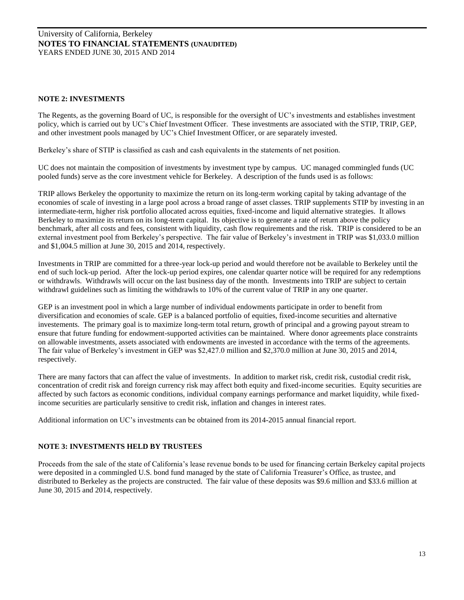## **NOTE 2: INVESTMENTS**

The Regents, as the governing Board of UC, is responsible for the oversight of UC's investments and establishes investment policy, which is carried out by UC's Chief Investment Officer. These investments are associated with the STIP, TRIP, GEP, and other investment pools managed by UC's Chief Investment Officer, or are separately invested.

Berkeley's share of STIP is classified as cash and cash equivalents in the statements of net position.

UC does not maintain the composition of investments by investment type by campus. UC managed commingled funds (UC pooled funds) serve as the core investment vehicle for Berkeley. A description of the funds used is as follows:

TRIP allows Berkeley the opportunity to maximize the return on its long-term working capital by taking advantage of the economies of scale of investing in a large pool across a broad range of asset classes. TRIP supplements STIP by investing in an intermediate-term, higher risk portfolio allocated across equities, fixed-income and liquid alternative strategies. It allows Berkeley to maximize its return on its long-term capital. Its objective is to generate a rate of return above the policy benchmark, after all costs and fees, consistent with liquidity, cash flow requirements and the risk. TRIP is considered to be an external investment pool from Berkeley's perspective. The fair value of Berkeley's investment in TRIP was \$1,033.0 million and \$1,004.5 million at June 30, 2015 and 2014, respectively.

Investments in TRIP are committed for a three-year lock-up period and would therefore not be available to Berkeley until the end of such lock-up period. After the lock-up period expires, one calendar quarter notice will be required for any redemptions or withdrawls. Withdrawls will occur on the last business day of the month. Investments into TRIP are subject to certain withdrawl guidelines such as limiting the withdrawls to 10% of the current value of TRIP in any one quarter.

GEP is an investment pool in which a large number of individual endowments participate in order to benefit from diversification and economies of scale. GEP is a balanced portfolio of equities, fixed-income securities and alternative investements. The primary goal is to maximize long-term total return, growth of principal and a growing payout stream to ensure that future funding for endowment-supported activities can be maintained. Where donor agreements place constraints on allowable investments, assets associated with endowments are invested in accordance with the terms of the agreements. The fair value of Berkeley's investment in GEP was \$2,427.0 million and \$2,370.0 million at June 30, 2015 and 2014, respectively.

There are many factors that can affect the value of investments. In addition to market risk, credit risk, custodial credit risk, concentration of credit risk and foreign currency risk may affect both equity and fixed-income securities. Equity securities are affected by such factors as economic conditions, individual company earnings performance and market liquidity, while fixedincome securities are particularly sensitive to credit risk, inflation and changes in interest rates.

Additional information on UC's investments can be obtained from its 2014-2015 annual financial report.

## **NOTE 3: INVESTMENTS HELD BY TRUSTEES**

Proceeds from the sale of the state of California's lease revenue bonds to be used for financing certain Berkeley capital projects were deposited in a commingled U.S. bond fund managed by the state of California Treasurer's Office, as trustee, and distributed to Berkeley as the projects are constructed. The fair value of these deposits was \$9.6 million and \$33.6 million at June 30, 2015 and 2014, respectively.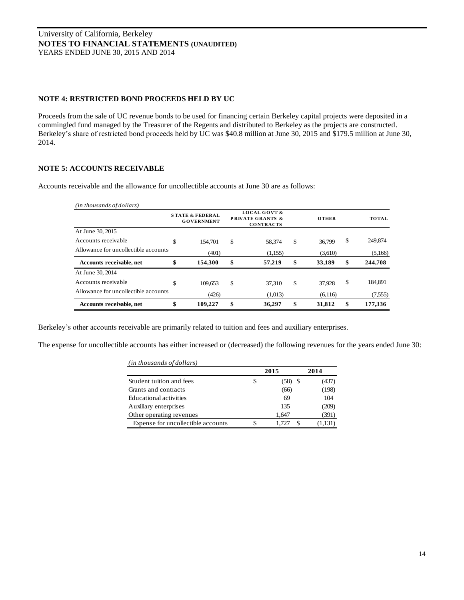## **NOTE 4: RESTRICTED BOND PROCEEDS HELD BY UC**

Proceeds from the sale of UC revenue bonds to be used for financing certain Berkeley capital projects were deposited in a commingled fund managed by the Treasurer of the Regents and distributed to Berkeley as the projects are constructed. Berkeley's share of restricted bond proceeds held by UC was \$40.8 million at June 30, 2015 and \$179.5 million at June 30, 2014.

## **NOTE 5: ACCOUNTS RECEIVABLE**

Accounts receivable and the allowance for uncollectible accounts at June 30 are as follows:

|                                      | <b>STATE &amp; FEDERAL</b><br><b>GOVERNMENT</b> |         | <b>LOCAL GOVT &amp;</b><br><b>PRIVATE GRANTS &amp;</b><br><b>CONTRACTS</b> | <b>OTHER</b> | <b>TOTAL</b>  |
|--------------------------------------|-------------------------------------------------|---------|----------------------------------------------------------------------------|--------------|---------------|
| At June 30, 2015                     |                                                 |         |                                                                            |              |               |
| Accounts receivable                  | \$                                              | 154,701 | \$<br>58.374                                                               | \$<br>36,799 | \$<br>249,874 |
| Allowance for uncollectible accounts |                                                 | (401)   | (1,155)                                                                    | (3,610)      | (5,166)       |
| Accounts receivable, net             | \$                                              | 154,300 | \$<br>57,219                                                               | \$<br>33,189 | \$<br>244,708 |
| At June 30, 2014                     |                                                 |         |                                                                            |              |               |
| Accounts receivable                  | \$                                              | 109,653 | \$<br>37,310                                                               | \$<br>37,928 | \$<br>184,891 |
| Allowance for uncollectible accounts |                                                 | (426)   | (1,013)                                                                    | (6,116)      | (7, 555)      |
| Accounts receivable, net             | \$                                              | 109,227 | \$<br>36.297                                                               | \$<br>31,812 | \$<br>177,336 |

Berkeley's other accounts receivable are primarily related to tuition and fees and auxiliary enterprises.

The expense for uncollectible accounts has either increased or (decreased) the following revenues for the years ended June 30:

| (in thousands of dollars)          |                 |         |
|------------------------------------|-----------------|---------|
|                                    | 2015            | 2014    |
| Student tuition and fees           | \$<br>$(58)$ \$ | (437)   |
| Grants and contracts               | (66)            | (198)   |
| Educational activities             | 69              | 104     |
| Auxiliary enterprises              | 135             | (209)   |
| Other operating revenues           | 1,647           | (391)   |
| Expense for uncollectible accounts | 1.727           | (1,131) |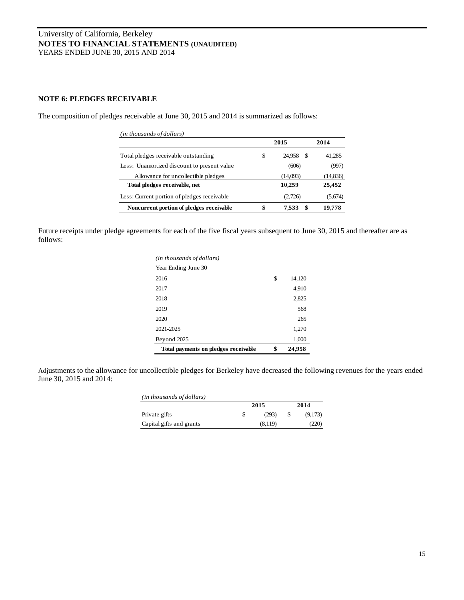## **NOTE 6: PLEDGES RECEIVABLE**

The composition of pledges receivable at June 30, 2015 and 2014 is summarized as follows:

| (in thousands of dollars)                   |                   |           |
|---------------------------------------------|-------------------|-----------|
|                                             | 2015              | 2014      |
| Total pledges receivable outstanding        | \$<br>24.958 \$   | 41,285    |
| Less: Unamortized discount to present value | (606)             | (997)     |
| Allowance for uncollectible pledges         | (14,093)          | (14, 836) |
| Total pledges receivable, net               | 10,259            | 25,452    |
| Less: Current portion of pledges receivable | (2,726)           | (5,674)   |
| Noncurrent portion of pledges receivable    | \$<br>\$<br>7.533 | 19,778    |

Future receipts under pledge agreements for each of the five fiscal years subsequent to June 30, 2015 and thereafter are as follows:

| (in thousands of dollars)            |              |
|--------------------------------------|--------------|
| Year Ending June 30                  |              |
| 2016                                 | \$<br>14,120 |
| 2017                                 | 4,910        |
| 2018                                 | 2,825        |
| 2019                                 | 568          |
| 2020                                 | 265          |
| 2021-2025                            | 1,270        |
| Beyond 2025                          | 1,000        |
| Total payments on pledges receivable | \$<br>24,958 |

Adjustments to the allowance for uncollectible pledges for Berkeley have decreased the following revenues for the years ended June 30, 2015 and 2014:

| (in thousands of dollars) |   |         |         |
|---------------------------|---|---------|---------|
|                           |   | 2015    | 2014    |
| Private gifts             | S | (293)   | (9,173) |
| Capital gifts and grants  |   | (8.119) | (220)   |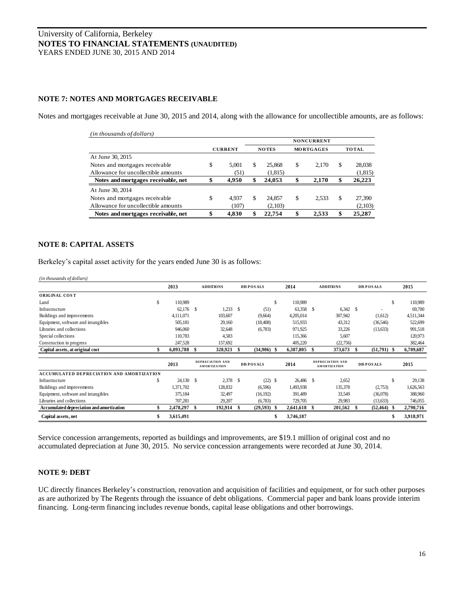## **NOTE 7: NOTES AND MORTGAGES RECEIVABLE**

Notes and mortgages receivable at June 30, 2015 and 2014, along with the allowance for uncollectible amounts, are as follows:

| (in thousands of dollars)           |                |    |              |                  |    |              |
|-------------------------------------|----------------|----|--------------|------------------|----|--------------|
|                                     |                |    |              |                  |    |              |
|                                     | <b>CURRENT</b> |    | <b>NOTES</b> | <b>MORTGAGES</b> |    | <b>TOTAL</b> |
| At June 30, 2015                    |                |    |              |                  |    |              |
| Notes and mortgages receivable.     | \$<br>5.001    | S  | 25,868       | \$<br>2.170      | S  | 28,038       |
| Allowance for uncollectible amounts | (51)           |    | (1, 815)     |                  |    | (1,815)      |
| Notes and mortgages receivable, net | \$<br>4.950    | \$ | 24,053       | \$<br>2.170      | \$ | 26,223       |
| At June 30, 2014                    |                |    |              |                  |    |              |
| Notes and mortgages receivable.     | \$<br>4.937    | S  | 24.857       | \$<br>2.533      | \$ | 27,390       |
| Allowance for uncollectible amounts | (107)          |    | (2,103)      |                  |    | (2,103)      |
| Notes and mortgages receivable, net | \$<br>4.830    |    | 22.754       | \$<br>2.533      |    | 25,287       |

#### **NOTE 8: CAPITAL ASSETS**

Berkeley's capital asset activity for the years ended June 30 is as follows:

| Definered a capital asset activity for the years ended jume by is as follows.<br>(in thousands of dollars) |    |           |    |                                                |      |                  |               |              |                                                |                  |    |           |
|------------------------------------------------------------------------------------------------------------|----|-----------|----|------------------------------------------------|------|------------------|---------------|--------------|------------------------------------------------|------------------|----|-----------|
|                                                                                                            |    | 2013      |    | <b>ADDITIONS</b>                               |      | <b>DISPOSALS</b> |               | 2014         | <b>ADDITIONS</b>                               | <b>DISPOSALS</b> |    | 2015      |
| ORIGINAL COST                                                                                              |    |           |    |                                                |      |                  |               |              |                                                |                  |    |           |
| Land                                                                                                       | S. | 110.989   |    |                                                |      |                  | <sup>\$</sup> | 110,989      |                                                |                  | s  | 110,989   |
| Infrastructure                                                                                             |    | 62,176 \$ |    | 1,233                                          | - \$ | (51)             |               | 63,358 \$    | $6,342$ \$                                     |                  |    | 69,700    |
| Buildings and improvements                                                                                 |    | 4,111,071 |    | 103,607                                        |      | (9,664)          |               | 4,205,014    | 307,942                                        | (1,612)          |    | 4,511,344 |
| Equipment, software and intangibles                                                                        |    | 505,181   |    | 29,160                                         |      | (18, 408)        |               | 515,933      | 43,312                                         | (36, 546)        |    | 522,699   |
| Libraries and collections                                                                                  |    | 946,060   |    | 32,648                                         |      | (6,783)          |               | 971,925      | 33,226                                         | (13, 633)        |    | 991,518   |
| Special collections                                                                                        |    | 110,783   |    | 4,583                                          |      |                  |               | 115,366      | 5,607                                          |                  |    | 120,973   |
| Construction in progress                                                                                   |    | 247,528   |    | 157,692                                        |      |                  |               | 405,220      | (22,756)                                       |                  |    | 382,464   |
| Capital assets, at original cost                                                                           |    | 6,093,788 | £. | 328,923                                        | -S   | $(34,906)$ \$    |               | 6,387,805 \$ | 373,673                                        | $(51,791)$ \$    |    | 6,709,687 |
|                                                                                                            |    | 2013      |    | <b>DEPRECIATION AND</b><br><b>AMORTIZATION</b> |      | <b>DISPOSALS</b> |               | 2014         | <b>DEPRECIATION AND</b><br><b>AMORTIZATION</b> | <b>DISPOSALS</b> |    | 2015      |
| <b>ACCUMULATED DEPRECIATION AND AMORTIZATION</b>                                                           |    |           |    |                                                |      |                  |               |              |                                                |                  |    |           |
| Infrastructure                                                                                             | S  | 24,130 \$ |    | 2,378 \$                                       |      | $(22)$ \$        |               | 26,486 \$    | 2,652                                          |                  | s  | 29,138    |
| Buildings and improvements                                                                                 |    | 1,371,702 |    | 128,832                                        |      | (6,596)          |               | 1,493,938    | 135,378                                        | (2,753)          |    | 1,626,563 |
| Equipment, software and intangibles                                                                        |    | 375,184   |    | 32,497                                         |      | (16, 192)        |               | 391,489      | 33,549                                         | (36,078)         |    | 388,960   |
| Libraries and collections                                                                                  |    | 707,281   |    | 29,207                                         |      | (6,783)          |               | 729,705      | 29,983                                         | (13, 633)        |    | 746,055   |
| Accumulated depreciation and amortization                                                                  |    | 2,478,297 | S  | 192,914                                        | -S   | $(29,593)$ \$    |               | 2,641,618 \$ | 201,562                                        | $(52, 464)$ \$   |    | 2,790,716 |
| Capital assets, net                                                                                        | S  | 3,615,491 |    |                                                |      |                  |               | 3,746,187    |                                                |                  | \$ | 3,918,971 |

Service concession arrangements, reported as buildings and improvements, are \$19.1 million of original cost and no accumulated depreciation at June 30, 2015. No service concession arrangements were recorded at June 30, 2014.

#### **NOTE 9: DEBT**

UC directly finances Berkeley's construction, renovation and acquisition of facilities and equipment, or for such other purposes as are authorized by The Regents through the issuance of debt obligations. Commercial paper and bank loans provide interim financing. Long-term financing includes revenue bonds, capital lease obligations and other borrowings.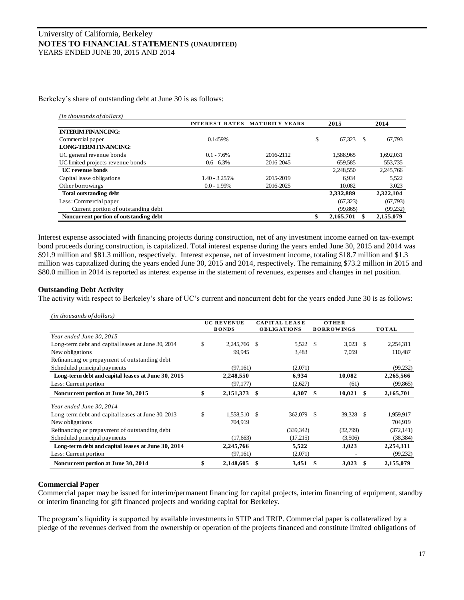Berkeley's share of outstanding debt at June 30 is as follows:

|                                        | <b>INTEREST RATES</b> | <b>MATURITY YEARS</b> |    | 2015      |    | 2014      |
|----------------------------------------|-----------------------|-----------------------|----|-----------|----|-----------|
| <b>INTERIM FINANCING:</b>              |                       |                       |    |           |    |           |
| Commercial paper                       | 0.1459%               |                       | S. | 67,323    | -8 | 67,793    |
| <b>LONG-TERM FINANCING:</b>            |                       |                       |    |           |    |           |
| UC general revenue bonds               | $0.1 - 7.6\%$         | 2016-2112             |    | 1,588,965 |    | 1,692,031 |
| UC limited projects revenue bonds      | $0.6 - 6.3\%$         | 2016-2045             |    | 659,585   |    | 553,735   |
| <b>UC</b> revenue bonds                |                       |                       |    | 2.248.550 |    | 2,245,766 |
| Capital lease obligations              | $1.40 - 3.255\%$      | 2015-2019             |    | 6,934     |    | 5,522     |
| Other borrowings                       | $0.0 - 1.99\%$        | 2016-2025             |    | 10,082    |    | 3,023     |
| <b>Total outstanding debt</b>          |                       |                       |    | 2,332,889 |    | 2,322,104 |
| Less: Commercial paper                 |                       |                       |    | (67, 323) |    | (67,793)  |
| Current portion of outstanding debt    |                       |                       |    | (99, 865) |    | (99,232)  |
| Noncurrent portion of outstanding debt |                       |                       |    | 2,165,701 |    | 2,155,079 |

Interest expense associated with financing projects during construction, net of any investment income earned on tax-exempt bond proceeds during construction, is capitalized. Total interest expense during the years ended June 30, 2015 and 2014 was \$91.9 million and \$81.3 million, respectively. Interest expense, net of investment income, totaling \$18.7 million and \$1.3 million was capitalized during the years ended June 30, 2015 and 2014, respectively. The remaining \$73.2 million in 2015 and \$80.0 million in 2014 is reported as interest expense in the statement of revenues, expenses and changes in net position.

#### **Outstanding Debt Activity**

|                                                    | <b>UC REVENUE</b><br><b>BONDS</b> |    | <b>CAPITAL LEASE</b><br><b>OBLIGATIONS</b> |      | <b>OTHER</b><br><b>BORROWINGS</b> |      | TOTAL      |
|----------------------------------------------------|-----------------------------------|----|--------------------------------------------|------|-----------------------------------|------|------------|
| Year ended June 30, 2015                           |                                   |    |                                            |      |                                   |      |            |
| Long-term debt and capital leases at June 30, 2014 | \$<br>2,245,766                   | -S | 5,522 \$                                   |      | $3,023$ \$                        |      | 2,254,311  |
| New obligations                                    | 99,945                            |    | 3,483                                      |      | 7,059                             |      | 110,487    |
| Refinancing or prepayment of outstanding debt      |                                   |    |                                            |      |                                   |      |            |
| Scheduled principal payments                       | (97, 161)                         |    | (2,071)                                    |      |                                   |      | (99, 232)  |
| Long-term debt and capital leases at June 30, 2015 | 2,248,550                         |    | 6,934                                      |      | 10,082                            |      | 2,265,566  |
| Less: Current portion                              | (97, 177)                         |    | (2,627)                                    |      | (61)                              |      | (99, 865)  |
| Noncurrent portion at June 30, 2015                | \$<br>2,151,373                   | \$ | 4,307                                      | -S   | 10,021                            | - \$ | 2,165,701  |
| Year ended June 30, 2014                           |                                   |    |                                            |      |                                   |      |            |
| Long-term debt and capital leases at June 30, 2013 | \$<br>1,558,510 \$                |    | 362,079                                    | - \$ | 39,328 \$                         |      | 1,959,917  |
| New obligations                                    | 704,919                           |    |                                            |      |                                   |      | 704,919    |
| Refinancing or prepayment of outstanding debt      |                                   |    | (339, 342)                                 |      | (32,799)                          |      | (372, 141) |
| Scheduled principal payments                       | (17,663)                          |    | (17,215)                                   |      | (3,506)                           |      | (38, 384)  |
| Long-term debt and capital leases at June 30, 2014 | 2,245,766                         |    | 5,522                                      |      | 3,023                             |      | 2,254,311  |
| Less: Current portion                              | (97, 161)                         |    | (2,071)                                    |      |                                   |      | (99,232)   |
| Noncurrent portion at June 30, 2014                | \$<br>2,148,605                   | \$ | 3,451                                      | -S   | 3,023                             | -SS  | 2,155,079  |

#### **Commercial Paper**

Commercial paper may be issued for interim/permanent financing for capital projects, interim financing of equipment, standby or interim financing for gift financed projects and working capital for Berkeley.

The program's liquidity is supported by available investments in STIP and TRIP. Commercial paper is collateralized by a pledge of the revenues derived from the ownership or operation of the projects financed and constitute limited obligations of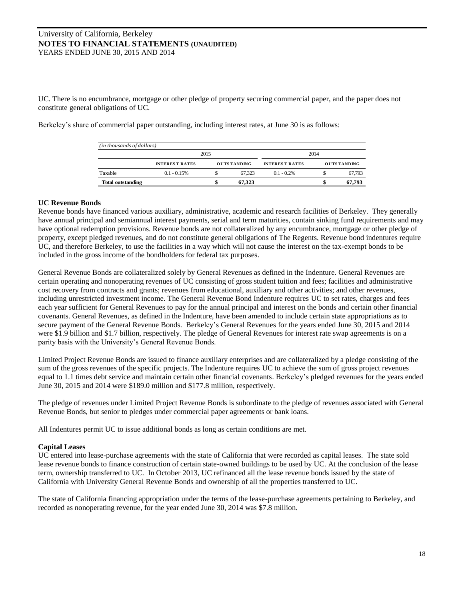UC. There is no encumbrance, mortgage or other pledge of property securing commercial paper, and the paper does not constitute general obligations of UC.

Berkeley's share of commercial paper outstanding, including interest rates, at June 30 is as follows:

| (in thousands of dollars) |                        |                     |        |                        |      |                     |  |  |
|---------------------------|------------------------|---------------------|--------|------------------------|------|---------------------|--|--|
|                           |                        | 2015                |        |                        | 2014 |                     |  |  |
|                           | <b>INTERES T RATES</b> | <b>OUTS TANDING</b> |        | <b>INTERES T RATES</b> |      | <b>OUTS TANDING</b> |  |  |
| Taxable                   | $0.1 - 0.15%$          |                     | 67.323 | $0.1 - 0.2\%$          |      | 67.793              |  |  |
| <b>Total outstanding</b>  |                        |                     | 67.323 |                        | S    | 67.793              |  |  |

#### **UC Revenue Bonds**

Revenue bonds have financed various auxiliary, administrative, academic and research facilities of Berkeley. They generally have annual principal and semiannual interest payments, serial and term maturities, contain sinking fund requirements and may have optional redemption provisions. Revenue bonds are not collateralized by any encumbrance, mortgage or other pledge of property, except pledged revenues, and do not constitute general obligations of The Regents. Revenue bond indentures require UC, and therefore Berkeley, to use the facilities in a way which will not cause the interest on the tax-exempt bonds to be included in the gross income of the bondholders for federal tax purposes.

General Revenue Bonds are collateralized solely by General Revenues as defined in the Indenture. General Revenues are certain operating and nonoperating revenues of UC consisting of gross student tuition and fees; facilities and administrative cost recovery from contracts and grants; revenues from educational, auxiliary and other activities; and other revenues, including unrestricted investment income. The General Revenue Bond Indenture requires UC to set rates, charges and fees each year sufficient for General Revenues to pay for the annual principal and interest on the bonds and certain other financial covenants. General Revenues, as defined in the Indenture, have been amended to include certain state appropriations as to secure payment of the General Revenue Bonds. Berkeley's General Revenues for the years ended June 30, 2015 and 2014 were \$1.9 billion and \$1.7 billion, respectively. The pledge of General Revenues for interest rate swap agreements is on a parity basis with the University's General Revenue Bonds.

Limited Project Revenue Bonds are issued to finance auxiliary enterprises and are collateralized by a pledge consisting of the sum of the gross revenues of the specific projects. The Indenture requires UC to achieve the sum of gross project revenues equal to 1.1 times debt service and maintain certain other financial covenants. Berkeley's pledged revenues for the years ended June 30, 2015 and 2014 were \$189.0 million and \$177.8 million, respectively.

The pledge of revenues under Limited Project Revenue Bonds is subordinate to the pledge of revenues associated with General Revenue Bonds, but senior to pledges under commercial paper agreements or bank loans.

All Indentures permit UC to issue additional bonds as long as certain conditions are met.

## **Capital Leases**

UC entered into lease-purchase agreements with the state of California that were recorded as capital leases. The state sold lease revenue bonds to finance construction of certain state-owned buildings to be used by UC. At the conclusion of the lease term, ownership transferred to UC. In October 2013, UC refinanced all the lease revenue bonds issued by the state of California with University General Revenue Bonds and ownership of all the properties transferred to UC.

The state of California financing appropriation under the terms of the lease-purchase agreements pertaining to Berkeley, and recorded as nonoperating revenue, for the year ended June 30, 2014 was \$7.8 million.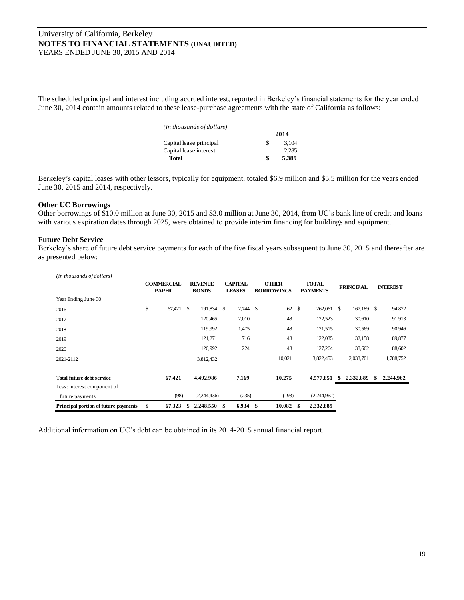The scheduled principal and interest including accrued interest, reported in Berkeley's financial statements for the year ended June 30, 2014 contain amounts related to these lease-purchase agreements with the state of California as follows:

| (in thousands of dollars) |   |       |
|---------------------------|---|-------|
|                           |   | 2014  |
| Capital lease principal   | S | 3.104 |
| Capital lease interest    |   | 2.285 |
| Total                     |   | 5,389 |

Berkeley's capital leases with other lessors, typically for equipment, totaled \$6.9 million and \$5.5 million for the years ended June 30, 2015 and 2014, respectively.

#### **Other UC Borrowings**

Other borrowings of \$10.0 million at June 30, 2015 and \$3.0 million at June 30, 2014, from UC's bank line of credit and loans with various expiration dates through 2025, were obtained to provide interim financing for buildings and equipment.

#### **Future Debt Service**

Berkeley's share of future debt service payments for each of the five fiscal years subsequent to June 30, 2015 and thereafter are as presented below:

| (in thousands of dollars)            |                   |   |                |                |    |                   |               |                 |    |                  |   |                 |
|--------------------------------------|-------------------|---|----------------|----------------|----|-------------------|---------------|-----------------|----|------------------|---|-----------------|
|                                      | <b>COMMERCIAL</b> |   | <b>REVENUE</b> | <b>CAPITAL</b> |    | <b>OTHER</b>      |               | <b>TOTAL</b>    |    | <b>PRINCIPAL</b> |   | <b>INTEREST</b> |
|                                      | <b>PAPER</b>      |   | <b>BONDS</b>   | <b>LEASES</b>  |    | <b>BORROWINGS</b> |               | <b>PAYMENTS</b> |    |                  |   |                 |
| Year Ending June 30                  |                   |   |                |                |    |                   |               |                 |    |                  |   |                 |
| 2016                                 | \$<br>67,421      | S | 191,834 \$     | $2,744$ \$     |    | 62                | <sup>\$</sup> | 262,061         | -S | 167,189 \$       |   | 94,872          |
| 2017                                 |                   |   | 120,465        | 2,010          |    | 48                |               | 122,523         |    | 30,610           |   | 91,913          |
| 2018                                 |                   |   | 119,992        | 1,475          |    | 48                |               | 121,515         |    | 30,569           |   | 90,946          |
| 2019                                 |                   |   | 121,271        | 716            |    | 48                |               | 122,035         |    | 32,158           |   | 89,877          |
| 2020                                 |                   |   | 126,992        | 224            |    | 48                |               | 127,264         |    | 38,662           |   | 88,602          |
| 2021-2112                            |                   |   | 3,812,432      |                |    | 10,021            |               | 3,822,453       |    | 2,033,701        |   | 1,788,752       |
|                                      |                   |   |                |                |    |                   |               |                 |    |                  |   |                 |
| <b>Total future debt service</b>     | 67,421            |   | 4,492,986      | 7,169          |    | 10,275            |               | 4,577,851       |    | 2,332,889        | S | 2,244,962       |
| Less: Interest component of          |                   |   |                |                |    |                   |               |                 |    |                  |   |                 |
| future payments                      | (98)              |   | (2,244,436)    | (235)          |    | (193)             |               | (2,244,962)     |    |                  |   |                 |
| Principal portion of future payments | \$<br>67,323      | S | 2,248,550      | \$<br>6,934    | -S | 10,082            | \$.           | 2,332,889       |    |                  |   |                 |

Additional information on UC's debt can be obtained in its 2014-2015 annual financial report.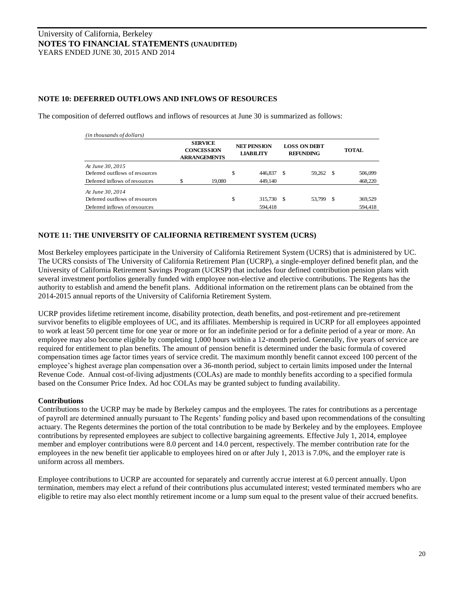## **NOTE 10: DEFERRED OUTFLOWS AND INFLOWS OF RESOURCES**

The composition of deferred outflows and inflows of resources at June 30 is summarized as follows:

| (in thousands of dollars)      |   |                                                            |                                        |      |                                         |   |              |
|--------------------------------|---|------------------------------------------------------------|----------------------------------------|------|-----------------------------------------|---|--------------|
|                                |   | <b>SERVICE</b><br><b>CONCESSION</b><br><b>ARRANGEMENTS</b> | <b>NET PENSION</b><br><b>LIABILITY</b> |      | <b>LOSS ON DEBT</b><br><b>REFUNDING</b> |   | <b>TOTAL</b> |
| At June 30, 2015               |   |                                                            |                                        |      |                                         |   |              |
| Deferred outflows of resources |   |                                                            | \$<br>446,837                          | S    | 59,262                                  | S | 506,099      |
| Deferred inflows of resources  | ¢ | 19.080                                                     | 449.140                                |      |                                         |   | 468,220      |
| At June 30, 2014               |   |                                                            |                                        |      |                                         |   |              |
| Deferred outflows of resources |   |                                                            | \$<br>315,730                          | - \$ | 53.799                                  | S | 369,529      |
| Deferred inflows of resources  |   |                                                            | 594.418                                |      |                                         |   | 594,418      |

## **NOTE 11: THE UNIVERSITY OF CALIFORNIA RETIREMENT SYSTEM (UCRS)**

Most Berkeley employees participate in the University of California Retirement System (UCRS) that is administered by UC. The UCRS consists of The University of California Retirement Plan (UCRP), a single-employer defined benefit plan, and the University of California Retirement Savings Program (UCRSP) that includes four defined contribution pension plans with several investment portfolios generally funded with employee non-elective and elective contributions. The Regents has the authority to establish and amend the benefit plans. Additional information on the retirement plans can be obtained from the 2014-2015 annual reports of the University of California Retirement System.

UCRP provides lifetime retirement income, disability protection, death benefits, and post-retirement and pre-retirement survivor benefits to eligible employees of UC, and its affiliates. Membership is required in UCRP for all employees appointed to work at least 50 percent time for one year or more or for an indefinite period or for a definite period of a year or more. An employee may also become eligible by completing 1,000 hours within a 12-month period. Generally, five years of service are required for entitlement to plan benefits. The amount of pension benefit is determined under the basic formula of covered compensation times age factor times years of service credit. The maximum monthly benefit cannot exceed 100 percent of the employee's highest average plan compensation over a 36-month period, subject to certain limits imposed under the Internal Revenue Code. Annual cost-of-living adjustments (COLAs) are made to monthly benefits according to a specified formula based on the Consumer Price Index. Ad hoc COLAs may be granted subject to funding availability.

#### **Contributions**

Contributions to the UCRP may be made by Berkeley campus and the employees. The rates for contributions as a percentage of payroll are determined annually pursuant to The Regents' funding policy and based upon recommendations of the consulting actuary. The Regents determines the portion of the total contribution to be made by Berkeley and by the employees. Employee contributions by represented employees are subject to collective bargaining agreements. Effective July 1, 2014, employee member and employer contributions were 8.0 percent and 14.0 percent, respectively. The member contribution rate for the employees in the new benefit tier applicable to employees hired on or after July 1, 2013 is 7.0%, and the employer rate is uniform across all members.

Employee contributions to UCRP are accounted for separately and currently accrue interest at 6.0 percent annually. Upon termination, members may elect a refund of their contributions plus accumulated interest; vested terminated members who are eligible to retire may also elect monthly retirement income or a lump sum equal to the present value of their accrued benefits.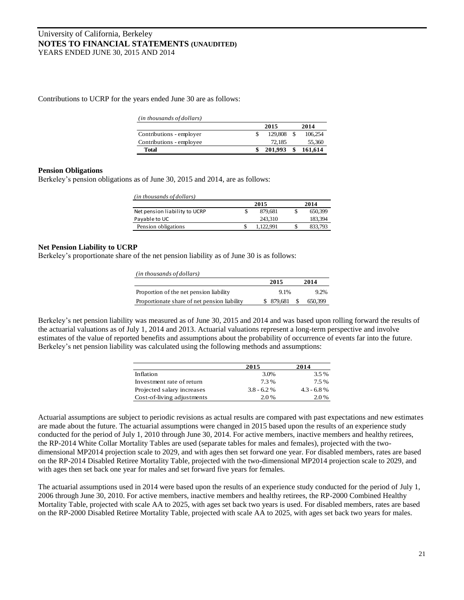Contributions to UCRP for the years ended June 30 are as follows:

| ( <i>in thousands of dollars</i> ) |         |         |
|------------------------------------|---------|---------|
|                                    | 2015    | 2014    |
| Contributions - employer           | 129.808 | 106.254 |
| Contributions - employee           | 72.185  | 55,360  |
| Total                              | 201.993 | 161,614 |

#### **Pension Obligations**

Berkeley's pension obligations as of June 30, 2015 and 2014, are as follows:

| (in thousands of dollars)     |   |         |         |
|-------------------------------|---|---------|---------|
|                               |   | 2015    | 2014    |
| Net pension liability to UCRP | S | 879.681 | 650,399 |
| Payable to UC                 |   | 243.310 | 183.394 |
| Pension obligations           |   | 122.991 | 833,793 |
|                               |   |         |         |

#### **Net Pension Liability to UCRP**

Berkeley's proportionate share of the net pension liability as of June 30 is as follows:

| (in thousands of dollars)                    |           |              |
|----------------------------------------------|-----------|--------------|
|                                              | 2015      | 2014         |
| Proportion of the net pension liability      | $9.1\%$   | $9.2\%$      |
| Proportionate share of net pension liability | \$879,681 | 650,399<br>S |

Berkeley's net pension liability was measured as of June 30, 2015 and 2014 and was based upon rolling forward the results of the actuarial valuations as of July 1, 2014 and 2013. Actuarial valuations represent a long-term perspective and involve estimates of the value of reported benefits and assumptions about the probability of occurrence of events far into the future. Berkeley's net pension liability was calculated using the following methods and assumptions:

|                            | 2015         | 2014         |  |  |
|----------------------------|--------------|--------------|--|--|
| Inflation                  | 3.0%         | 3.5%         |  |  |
| Investment rate of return  | 7.3%         | 7.5%         |  |  |
| Projected salary increases | $3.8 - 6.2%$ | $4.3 - 6.8%$ |  |  |
| Cost-of-living adjustments | $2.0\%$      | 2.0%         |  |  |

Actuarial assumptions are subject to periodic revisions as actual results are compared with past expectations and new estimates are made about the future. The actuarial assumptions were changed in 2015 based upon the results of an experience study conducted for the period of July 1, 2010 through June 30, 2014. For active members, inactive members and healthy retirees, the RP-2014 White Collar Mortality Tables are used (separate tables for males and females), projected with the twodimensional MP2014 projection scale to 2029, and with ages then set forward one year. For disabled members, rates are based on the RP-2014 Disabled Retiree Mortality Table, projected with the two-dimensional MP2014 projection scale to 2029, and with ages then set back one year for males and set forward five years for females.

The actuarial assumptions used in 2014 were based upon the results of an experience study conducted for the period of July 1, 2006 through June 30, 2010. For active members, inactive members and healthy retirees, the RP-2000 Combined Healthy Mortality Table, projected with scale AA to 2025, with ages set back two years is used. For disabled members, rates are based on the RP-2000 Disabled Retiree Mortality Table, projected with scale AA to 2025, with ages set back two years for males.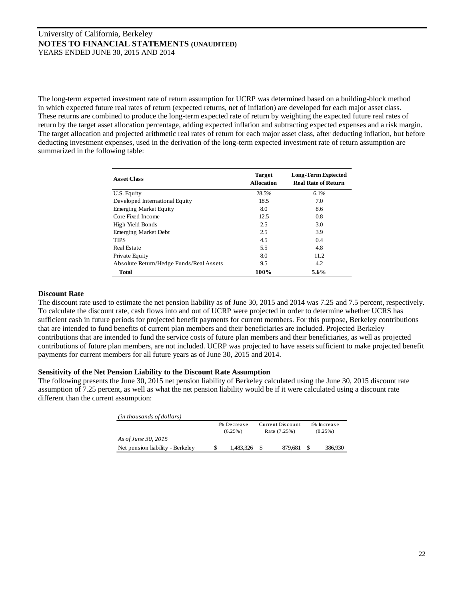The long-term expected investment rate of return assumption for UCRP was determined based on a building-block method in which expected future real rates of return (expected returns, net of inflation) are developed for each major asset class. These returns are combined to produce the long-term expected rate of return by weighting the expected future real rates of return by the target asset allocation percentage, adding expected inflation and subtracting expected expenses and a risk margin. The target allocation and projected arithmetic real rates of return for each major asset class, after deducting inflation, but before deducting investment expenses, used in the derivation of the long-term expected investment rate of return assumption are summarized in the following table:

| <b>Asset Class</b>                      | <b>Target</b><br><b>Allocation</b> | <b>Long-Term Exptected</b><br><b>Real Rate of Return</b> |
|-----------------------------------------|------------------------------------|----------------------------------------------------------|
| U.S. Equity                             | 28.5%                              | 6.1%                                                     |
| Developed International Equity          | 18.5                               | 7.0                                                      |
| <b>Emerging Market Equity</b>           | 8.0                                | 8.6                                                      |
| Core Fixed Income                       | 12.5                               | 0.8                                                      |
| High Yield Bonds                        | 2.5                                | 3.0                                                      |
| <b>Emerging Market Debt</b>             | 2.5                                | 3.9                                                      |
| <b>TIPS</b>                             | 4.5                                | 0.4                                                      |
| <b>Real Estate</b>                      | 5.5                                | 4.8                                                      |
| Private Equity                          | 8.0                                | 11.2                                                     |
| Absolute Return/Hedge Funds/Real Assets | 9.5                                | 4.2                                                      |
| <b>Total</b>                            | 100%                               | $5.6\%$                                                  |

#### **Discount Rate**

The discount rate used to estimate the net pension liability as of June 30, 2015 and 2014 was 7.25 and 7.5 percent, respectively. To calculate the discount rate, cash flows into and out of UCRP were projected in order to determine whether UCRS has sufficient cash in future periods for projected benefit payments for current members. For this purpose, Berkeley contributions that are intended to fund benefits of current plan members and their beneficiaries are included. Projected Berkeley contributions that are intended to fund the service costs of future plan members and their beneficiaries, as well as projected contributions of future plan members, are not included. UCRP was projected to have assets sufficient to make projected benefit payments for current members for all future years as of June 30, 2015 and 2014.

#### **Sensitivity of the Net Pension Liability to the Discount Rate Assumption**

The following presents the June 30, 2015 net pension liability of Berkeley calculated using the June 30, 2015 discount rate assumption of 7.25 percent, as well as what the net pension liability would be if it were calculated using a discount rate different than the current assumption:

| ( <i>in thousands of dollars</i> ) |                           |                                  |                           |
|------------------------------------|---------------------------|----------------------------------|---------------------------|
|                                    | 1% Decrease<br>$(6.25\%)$ | Current Discount<br>Rate (7.25%) | 1% Increase<br>$(8.25\%)$ |
| As of June 30, 2015                |                           |                                  |                           |
| Net pension liability - Berkeley   | \$<br>1.483.326           | 879.681                          | 386.930                   |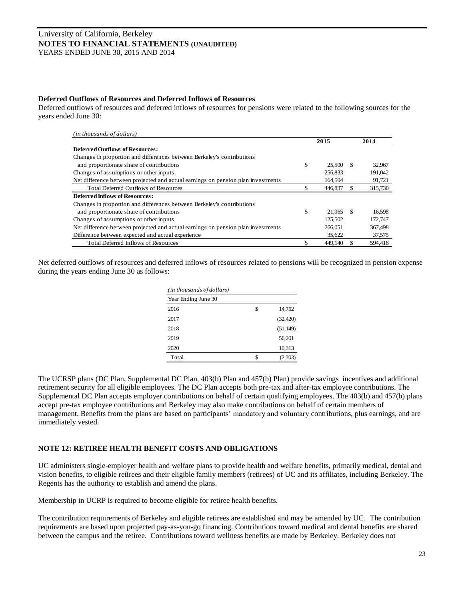#### **Deferred Outflows of Resources and Deferred Inflows of Resources**

Deferred outflows of resources and deferred inflows of resources for pensions were related to the following sources for the years ended June 30:

| (in thousands of dollars)                                                        |    |         |     |         |
|----------------------------------------------------------------------------------|----|---------|-----|---------|
|                                                                                  |    | 2015    |     | 2014    |
| <b>Deferred Outflows of Resources:</b>                                           |    |         |     |         |
| Changes in proportion and differences between Berkeley's contributions           |    |         |     |         |
| and proportionate share of contributions                                         | \$ | 25,500  | \$. | 32,967  |
| Changes of assumptions or other inputs                                           |    | 256,833 |     | 191.042 |
| Net difference between projected and actual earnings on pension plan investments |    | 164.504 |     | 91.721  |
| <b>Total Deferred Outflows of Resources</b>                                      | S  | 446,837 |     | 315,730 |
| <b>Deferred Inflows of Resources:</b>                                            |    |         |     |         |
| Changes in proportion and differences between Berkeley's contributions           |    |         |     |         |
| and proportionate share of contributions                                         | \$ | 21,965  | -S  | 16,598  |
| Changes of assumptions or other inputs                                           |    | 125,502 |     | 172,747 |
| Net difference between projected and actual earnings on pension plan investments |    | 266,051 |     | 367,498 |
| Difference between expected and actual experience                                |    | 35,622  |     | 37,575  |
| <b>Total Deferred Inflows of Resources</b>                                       |    | 449,140 |     | 594.418 |

Net deferred outflows of resources and deferred inflows of resources related to pensions will be recognized in pension expense during the years ending June 30 as follows:

| (in thousands of dollars) |    |           |  |  |  |
|---------------------------|----|-----------|--|--|--|
| Year Ending June 30       |    |           |  |  |  |
| 2016                      | \$ | 14,752    |  |  |  |
| 2017                      |    | (32, 420) |  |  |  |
| 2018                      |    | (51, 149) |  |  |  |
| 2019                      |    | 56,201    |  |  |  |
| 2020                      |    | 10,313    |  |  |  |
| Total                     | \$ | (2,303)   |  |  |  |

The UCRSP plans (DC Plan, Supplemental DC Plan, 403(b) Plan and 457(b) Plan) provide savings incentives and additional retirement security for all eligible employees. The DC Plan accepts both pre-tax and after-tax employee contributions. The Supplemental DC Plan accepts employer contributions on behalf of certain qualifying employees. The 403(b) and 457(b) plans accept pre-tax employee contributions and Berkeley may also make contributions on behalf of certain members of management. Benefits from the plans are based on participants' mandatory and voluntary contributions, plus earnings, and are immediately vested.

## **NOTE 12: RETIREE HEALTH BENEFIT COSTS AND OBLIGATIONS**

UC administers single-employer health and welfare plans to provide health and welfare benefits, primarily medical, dental and vision benefits, to eligible retirees and their eligible family members (retirees) of UC and its affiliates, including Berkeley. The Regents has the authority to establish and amend the plans.

Membership in UCRP is required to become eligible for retiree health benefits.

The contribution requirements of Berkeley and eligible retirees are established and may be amended by UC. The contribution requirements are based upon projected pay-as-you-go financing. Contributions toward medical and dental benefits are shared between the campus and the retiree. Contributions toward wellness benefits are made by Berkeley. Berkeley does not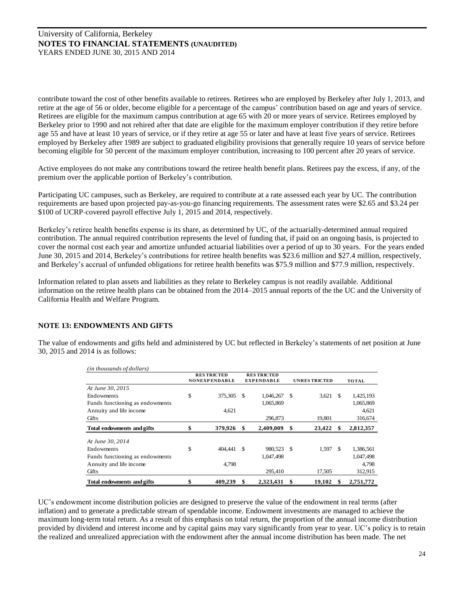contribute toward the cost of other benefits available to retirees. Retirees who are employed by Berkeley after July 1, 2013, and retire at the age of 56 or older, become eligible for a percentage of the campus' contribution based on age and years of service. Retirees are eligible for the maximum campus contribution at age 65 with 20 or more years of service. Retirees employed by Berkeley prior to 1990 and not rehired after that date are eligible for the maximum employer contribution if they retire before age 55 and have at least 10 years of service, or if they retire at age 55 or later and have at least five years of service. Retirees employed by Berkeley after 1989 are subject to graduated eligibility provisions that generally require 10 years of service before becoming eligible for 50 percent of the maximum employer contribution, increasing to 100 percent after 20 years of service.

Active employees do not make any contributions toward the retiree health benefit plans. Retirees pay the excess, if any, of the premium over the applicable portion of Berkeley's contribution.

Participating UC campuses, such as Berkeley, are required to contribute at a rate assessed each year by UC. The contribution requirements are based upon projected pay-as-you-go financing requirements. The assessment rates were \$2.65 and \$3.24 per \$100 of UCRP-covered payroll effective July 1, 2015 and 2014, respectively.

Berkeley's retiree health benefits expense is its share, as determined by UC, of the actuarially-determined annual required contribution. The annual required contribution represents the level of funding that, if paid on an ongoing basis, is projected to cover the normal cost each year and amortize unfunded actuarial liabilities over a period of up to 30 years. For the years ended June 30, 2015 and 2014, Berkeley's contributions for retiree health benefits was \$23.6 million and \$27.4 million, respectively, and Berkeley's accrual of unfunded obligations for retiree health benefits was \$75.9 million and \$77.9 million, respectively.

Information related to plan assets and liabilities as they relate to Berkeley campus is not readily available. Additional information on the retiree health plans can be obtained from the 2014–2015 annual reports of the the UC and the University of California Health and Welfare Program.

## **NOTE 13: ENDOWMENTS AND GIFTS**

The value of endowments and gifts held and administered by UC but reflected in Berkeley's statements of net position at June 30, 2015 and 2014 is as follows:

| (in thousands of dollars)       | <b>RES TRICTED</b>   |      | <b>RES TRICTED</b> |    |                      |    |              |
|---------------------------------|----------------------|------|--------------------|----|----------------------|----|--------------|
|                                 | <b>NONEXPENDABLE</b> |      | <b>EXPENDABLE</b>  |    | <b>UNRES TRICTED</b> |    | <b>TOTAL</b> |
| At June 30, 2015                |                      |      |                    |    |                      |    |              |
| Endowments                      | \$<br>375,305        | -S   | 1,046,267          | -S | 3,621                | -S | 1,425,193    |
| Funds functioning as endowments |                      |      | 1,065,869          |    |                      |    | 1,065,869    |
| Annuity and life income         | 4,621                |      |                    |    |                      |    | 4,621        |
| Gifts                           |                      |      | 296,873            |    | 19,801               |    | 316,674      |
| Total endowments and gifts      | 379,926              | -S   | 2,409,009          |    | 23,422               | S  | 2,812,357    |
|                                 |                      |      |                    |    |                      |    |              |
| At June 30, 2014                |                      |      |                    |    |                      |    |              |
| Endowments                      | \$<br>404.441        | - \$ | 980.523 \$         |    | 1.597                | -S | 1,386,561    |
| Funds functioning as endowments |                      |      | 1,047,498          |    |                      |    | 1,047,498    |
| Annuity and life income         | 4,798                |      |                    |    |                      |    | 4,798        |
| Gifts                           |                      |      | 295,410            |    | 17,505               |    | 312,915      |

UC's endowment income distribution policies are designed to preserve the value of the endowment in real terms (after inflation) and to generate a predictable stream of spendable income. Endowment investments are managed to achieve the maximum long-term total return. As a result of this emphasis on total return, the proportion of the annual income distribution provided by dividend and interest income and by capital gains may vary significantly from year to year. UC's policy is to retain the realized and unrealized appreciation with the endowment after the annual income distribution has been made. The net